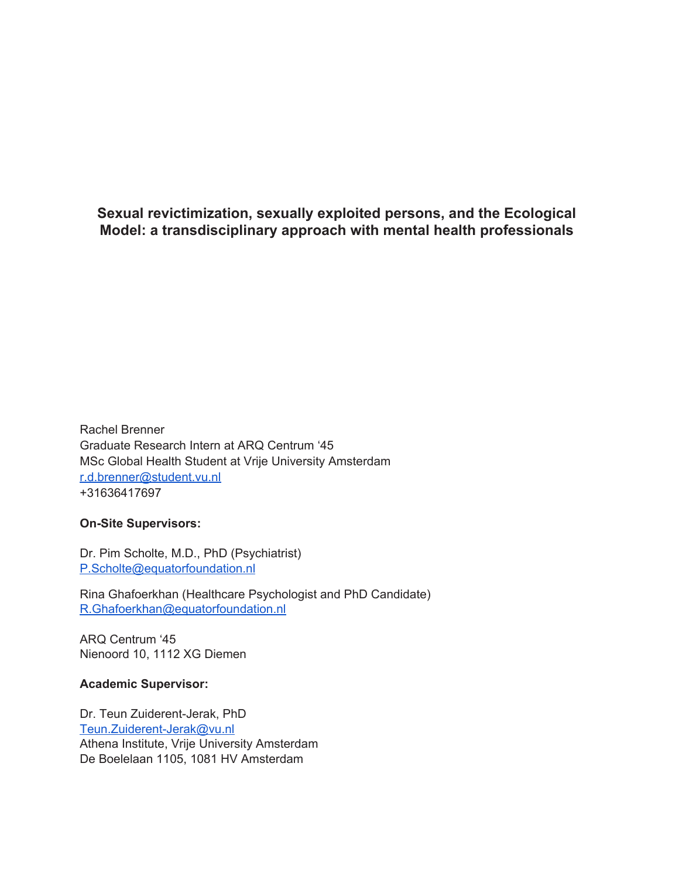**Sexual revictimization, sexually exploited persons, and the Ecological Model: a transdisciplinary approach with mental health professionals**

Rachel Brenner Graduate Research Intern at ARQ Centrum '45 MSc Global Health Student at Vrije University Amsterdam [r.d.brenner@student.vu.nl](mailto:r.d.brenner@student.vu.nl) +31636417697

## **On-Site Supervisors:**

Dr. Pim Scholte, M.D., PhD (Psychiatrist) [P.Scholte@equatorfoundation.nl](mailto:P.Scholte@equatorfoundation.nl)

Rina Ghafoerkhan (Healthcare Psychologist and PhD Candidate) [R.Ghafoerkhan@equatorfoundation.nl](mailto:R.Ghafoerkhan@equatorfoundation.nl)

ARQ Centrum '45 Nienoord 10, 1112 XG Diemen

## **Academic Supervisor:**

Dr. Teun Zuiderent-Jerak, PhD [Teun.Zuiderent-Jerak@vu.nl](mailto:Teun.Zuiderent-Jerak@vu.nl) Athena Institute, Vrije University Amsterdam De Boelelaan 1105, 1081 HV Amsterdam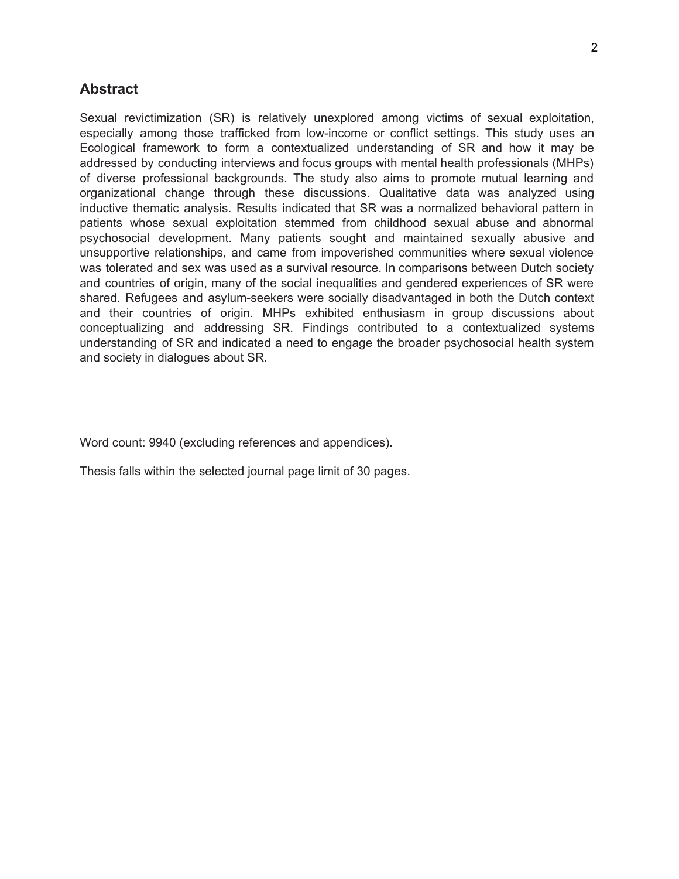# **Abstract**

Sexual revictimization (SR) is relatively unexplored among victims of sexual exploitation, especially among those trafficked from low-income or conflict settings. This study uses an Ecological framework to form a contextualized understanding of SR and how it may be addressed by conducting interviews and focus groups with mental health professionals (MHPs) of diverse professional backgrounds. The study also aims to promote mutual learning and organizational change through these discussions. Qualitative data was analyzed using inductive thematic analysis. Results indicated that SR was a normalized behavioral pattern in patients whose sexual exploitation stemmed from childhood sexual abuse and abnormal psychosocial development. Many patients sought and maintained sexually abusive and unsupportive relationships, and came from impoverished communities where sexual violence was tolerated and sex was used as a survival resource. In comparisons between Dutch society and countries of origin, many of the social inequalities and gendered experiences of SR were shared. Refugees and asylum-seekers were socially disadvantaged in both the Dutch context and their countries of origin. MHPs exhibited enthusiasm in group discussions about conceptualizing and addressing SR. Findings contributed to a contextualized systems understanding of SR and indicated a need to engage the broader psychosocial health system and society in dialogues about SR.

Word count: 9940 (excluding references and appendices).

Thesis falls within the selected journal page limit of 30 pages.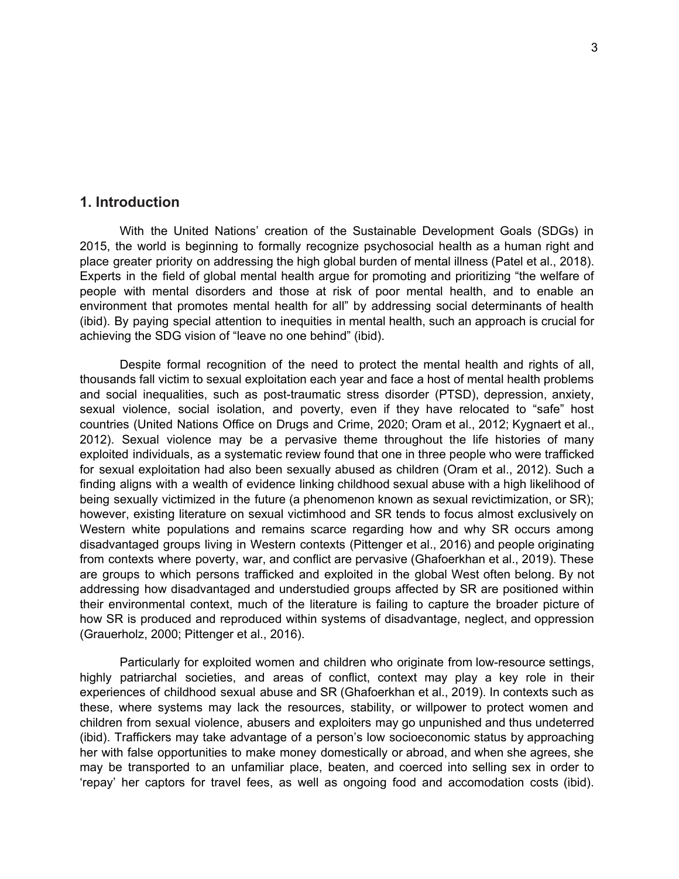# **1. Introduction**

With the United Nations' creation of the Sustainable Development Goals (SDGs) in 2015, the world is beginning to formally recognize psychosocial health as a human right and place greater priority on addressing the high global burden of mental illness (Patel et al., 2018). Experts in the field of global mental health argue for promoting and prioritizing "the welfare of people with mental disorders and those at risk of poor mental health, and to enable an environment that promotes mental health for all" by addressing social determinants of health (ibid). By paying special attention to inequities in mental health, such an approach is crucial for achieving the SDG vision of "leave no one behind" (ibid).

Despite formal recognition of the need to protect the mental health and rights of all, thousands fall victim to sexual exploitation each year and face a host of mental health problems and social inequalities, such as post-traumatic stress disorder (PTSD), depression, anxiety, sexual violence, social isolation, and poverty, even if they have relocated to "safe" host countries (United Nations Office on Drugs and Crime, 2020; Oram et al., 2012; Kygnaert et al., 2012). Sexual violence may be a pervasive theme throughout the life histories of many exploited individuals, as a systematic review found that one in three people who were trafficked for sexual exploitation had also been sexually abused as children (Oram et al., 2012). Such a finding aligns with a wealth of evidence linking childhood sexual abuse with a high likelihood of being sexually victimized in the future (a phenomenon known as sexual revictimization, or SR); however, existing literature on sexual victimhood and SR tends to focus almost exclusively on Western white populations and remains scarce regarding how and why SR occurs among disadvantaged groups living in Western contexts (Pittenger et al., 2016) and people originating from contexts where poverty, war, and conflict are pervasive (Ghafoerkhan et al., 2019). These are groups to which persons trafficked and exploited in the global West often belong. By not addressing how disadvantaged and understudied groups affected by SR are positioned within their environmental context, much of the literature is failing to capture the broader picture of how SR is produced and reproduced within systems of disadvantage, neglect, and oppression (Grauerholz, 2000; Pittenger et al., 2016).

Particularly for exploited women and children who originate from low-resource settings, highly patriarchal societies, and areas of conflict, context may play a key role in their experiences of childhood sexual abuse and SR (Ghafoerkhan et al., 2019). In contexts such as these, where systems may lack the resources, stability, or willpower to protect women and children from sexual violence, abusers and exploiters may go unpunished and thus undeterred (ibid). Traffickers may take advantage of a person's low socioeconomic status by approaching her with false opportunities to make money domestically or abroad, and when she agrees, she may be transported to an unfamiliar place, beaten, and coerced into selling sex in order to 'repay' her captors for travel fees, as well as ongoing food and accomodation costs (ibid).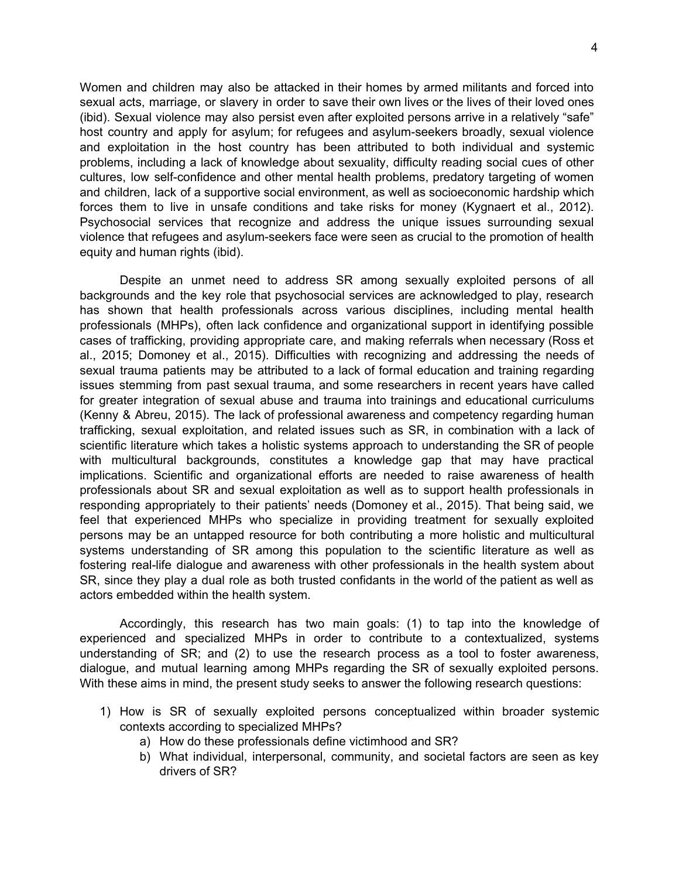Women and children may also be attacked in their homes by armed militants and forced into sexual acts, marriage, or slavery in order to save their own lives or the lives of their loved ones (ibid). Sexual violence may also persist even after exploited persons arrive in a relatively "safe" host country and apply for asylum; for refugees and asylum-seekers broadly, sexual violence and exploitation in the host country has been attributed to both individual and systemic problems, including a lack of knowledge about sexuality, difficulty reading social cues of other cultures, low self-confidence and other mental health problems, predatory targeting of women and children, lack of a supportive social environment, as well as socioeconomic hardship which forces them to live in unsafe conditions and take risks for money (Kygnaert et al., 2012). Psychosocial services that recognize and address the unique issues surrounding sexual violence that refugees and asylum-seekers face were seen as crucial to the promotion of health equity and human rights (ibid).

Despite an unmet need to address SR among sexually exploited persons of all backgrounds and the key role that psychosocial services are acknowledged to play, research has shown that health professionals across various disciplines, including mental health professionals (MHPs), often lack confidence and organizational support in identifying possible cases of trafficking, providing appropriate care, and making referrals when necessary (Ross et al., 2015; Domoney et al., 2015). Difficulties with recognizing and addressing the needs of sexual trauma patients may be attributed to a lack of formal education and training regarding issues stemming from past sexual trauma, and some researchers in recent years have called for greater integration of sexual abuse and trauma into trainings and educational curriculums (Kenny & Abreu, 2015). The lack of professional awareness and competency regarding human trafficking, sexual exploitation, and related issues such as SR, in combination with a lack of scientific literature which takes a holistic systems approach to understanding the SR of people with multicultural backgrounds, constitutes a knowledge gap that may have practical implications. Scientific and organizational efforts are needed to raise awareness of health professionals about SR and sexual exploitation as well as to support health professionals in responding appropriately to their patients' needs (Domoney et al., 2015). That being said, we feel that experienced MHPs who specialize in providing treatment for sexually exploited persons may be an untapped resource for both contributing a more holistic and multicultural systems understanding of SR among this population to the scientific literature as well as fostering real-life dialogue and awareness with other professionals in the health system about SR, since they play a dual role as both trusted confidants in the world of the patient as well as actors embedded within the health system.

Accordingly, this research has two main goals: (1) to tap into the knowledge of experienced and specialized MHPs in order to contribute to a contextualized, systems understanding of SR; and (2) to use the research process as a tool to foster awareness, dialogue, and mutual learning among MHPs regarding the SR of sexually exploited persons. With these aims in mind, the present study seeks to answer the following research questions:

- 1) How is SR of sexually exploited persons conceptualized within broader systemic contexts according to specialized MHPs?
	- a) How do these professionals define victimhood and SR?
	- b) What individual, interpersonal, community, and societal factors are seen as key drivers of SR?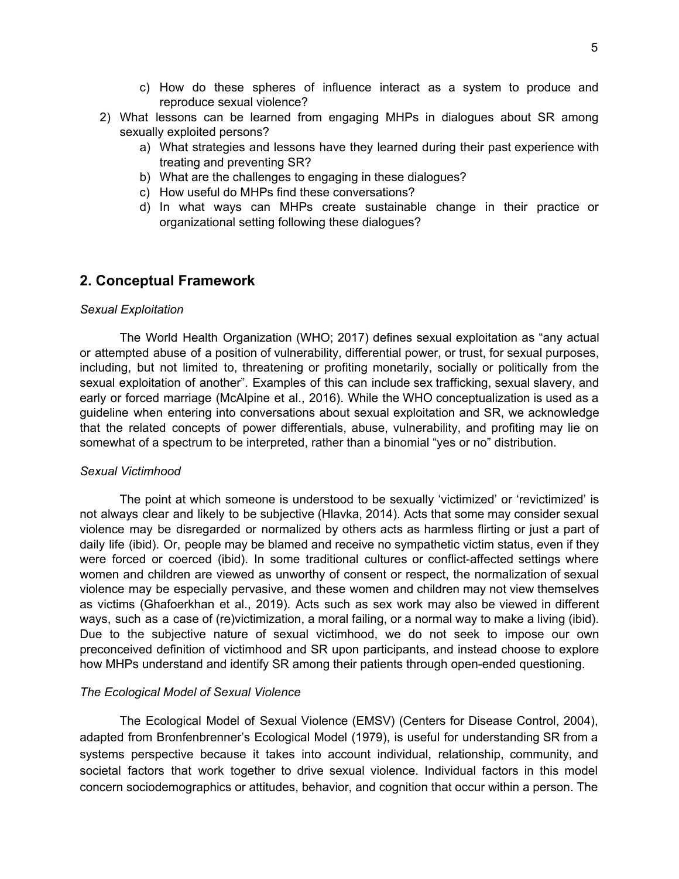- c) How do these spheres of influence interact as a system to produce and reproduce sexual violence?
- 2) What lessons can be learned from engaging MHPs in dialogues about SR among sexually exploited persons?
	- a) What strategies and lessons have they learned during their past experience with treating and preventing SR?
	- b) What are the challenges to engaging in these dialogues?
	- c) How useful do MHPs find these conversations?
	- d) In what ways can MHPs create sustainable change in their practice or organizational setting following these dialogues?

## **2. Conceptual Framework**

#### *Sexual Exploitation*

The World Health Organization (WHO; 2017) defines sexual exploitation as "any actual or attempted abuse of a position of vulnerability, differential power, or trust, for sexual purposes, including, but not limited to, threatening or profiting monetarily, socially or politically from the sexual exploitation of another". Examples of this can include sex trafficking, sexual slavery, and early or forced marriage (McAlpine et al., 2016). While the WHO conceptualization is used as a guideline when entering into conversations about sexual exploitation and SR, we acknowledge that the related concepts of power differentials, abuse, vulnerability, and profiting may lie on somewhat of a spectrum to be interpreted, rather than a binomial "yes or no" distribution.

#### *Sexual Victimhood*

The point at which someone is understood to be sexually 'victimized' or 'revictimized' is not always clear and likely to be subjective (Hlavka, 2014). Acts that some may consider sexual violence may be disregarded or normalized by others acts as harmless flirting or just a part of daily life (ibid). Or, people may be blamed and receive no sympathetic victim status, even if they were forced or coerced (ibid). In some traditional cultures or conflict-affected settings where women and children are viewed as unworthy of consent or respect, the normalization of sexual violence may be especially pervasive, and these women and children may not view themselves as victims (Ghafoerkhan et al., 2019). Acts such as sex work may also be viewed in different ways, such as a case of (re)victimization, a moral failing, or a normal way to make a living (ibid). Due to the subjective nature of sexual victimhood, we do not seek to impose our own preconceived definition of victimhood and SR upon participants, and instead choose to explore how MHPs understand and identify SR among their patients through open-ended questioning.

#### *The Ecological Model of Sexual Violence*

The Ecological Model of Sexual Violence (EMSV) (Centers for Disease Control, 2004), adapted from Bronfenbrenner's Ecological Model (1979), is useful for understanding SR from a systems perspective because it takes into account individual, relationship, community, and societal factors that work together to drive sexual violence. Individual factors in this model concern sociodemographics or attitudes, behavior, and cognition that occur within a person. The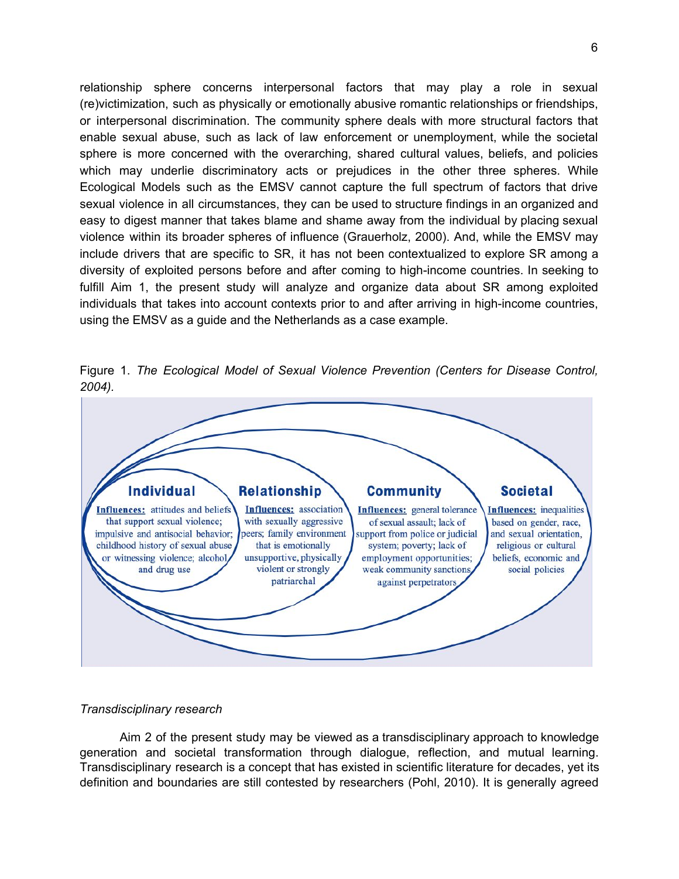relationship sphere concerns interpersonal factors that may play a role in sexual (re)victimization, such as physically or emotionally abusive romantic relationships or friendships, or interpersonal discrimination. The community sphere deals with more structural factors that enable sexual abuse, such as lack of law enforcement or unemployment, while the societal sphere is more concerned with the overarching, shared cultural values, beliefs, and policies which may underlie discriminatory acts or prejudices in the other three spheres. While Ecological Models such as the EMSV cannot capture the full spectrum of factors that drive sexual violence in all circumstances, they can be used to structure findings in an organized and easy to digest manner that takes blame and shame away from the individual by placing sexual violence within its broader spheres of influence (Grauerholz, 2000). And, while the EMSV may include drivers that are specific to SR, it has not been contextualized to explore SR among a diversity of exploited persons before and after coming to high-income countries. In seeking to fulfill Aim 1, the present study will analyze and organize data about SR among exploited individuals that takes into account contexts prior to and after arriving in high-income countries, using the EMSV as a guide and the Netherlands as a case example.

Figure 1. *The Ecological Model of Sexual Violence Prevention (Centers for Disease Control, 2004).*



### *Transdisciplinary research*

Aim 2 of the present study may be viewed as a transdisciplinary approach to knowledge generation and societal transformation through dialogue, reflection, and mutual learning. Transdisciplinary research is a concept that has existed in scientific literature for decades, yet its definition and boundaries are still contested by researchers (Pohl, 2010). It is generally agreed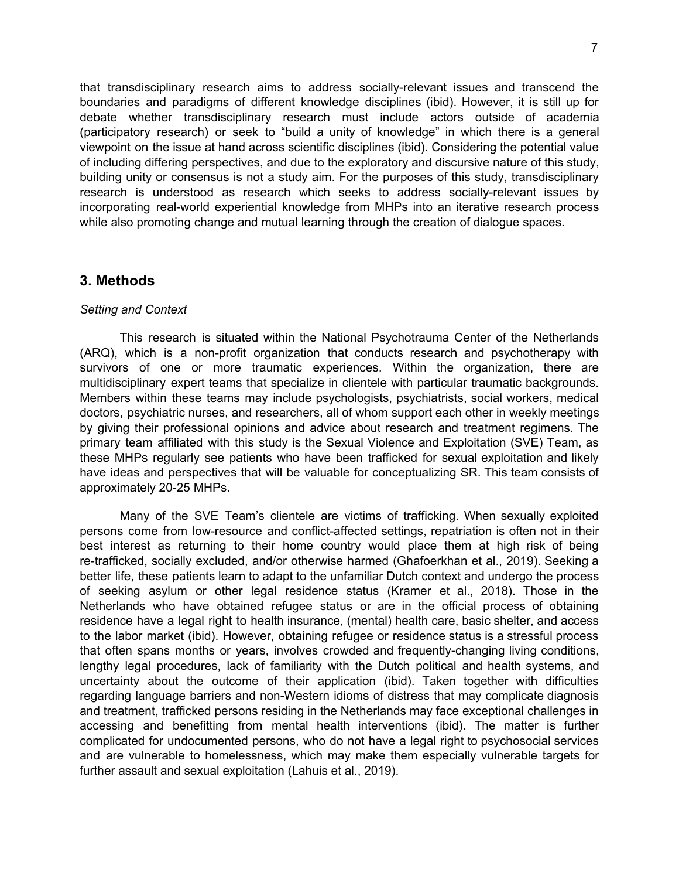that transdisciplinary research aims to address socially-relevant issues and transcend the boundaries and paradigms of different knowledge disciplines (ibid). However, it is still up for debate whether transdisciplinary research must include actors outside of academia (participatory research) or seek to "build a unity of knowledge" in which there is a general viewpoint on the issue at hand across scientific disciplines (ibid). Considering the potential value of including differing perspectives, and due to the exploratory and discursive nature of this study, building unity or consensus is not a study aim. For the purposes of this study, transdisciplinary research is understood as research which seeks to address socially-relevant issues by incorporating real-world experiential knowledge from MHPs into an iterative research process while also promoting change and mutual learning through the creation of dialogue spaces.

## **3. Methods**

### *Setting and Context*

This research is situated within the National Psychotrauma Center of the Netherlands (ARQ), which is a non-profit organization that conducts research and psychotherapy with survivors of one or more traumatic experiences. Within the organization, there are multidisciplinary expert teams that specialize in clientele with particular traumatic backgrounds. Members within these teams may include psychologists, psychiatrists, social workers, medical doctors, psychiatric nurses, and researchers, all of whom support each other in weekly meetings by giving their professional opinions and advice about research and treatment regimens. The primary team affiliated with this study is the Sexual Violence and Exploitation (SVE) Team, as these MHPs regularly see patients who have been trafficked for sexual exploitation and likely have ideas and perspectives that will be valuable for conceptualizing SR. This team consists of approximately 20-25 MHPs.

Many of the SVE Team's clientele are victims of trafficking. When sexually exploited persons come from low-resource and conflict-affected settings, repatriation is often not in their best interest as returning to their home country would place them at high risk of being re-trafficked, socially excluded, and/or otherwise harmed (Ghafoerkhan et al., 2019). Seeking a better life, these patients learn to adapt to the unfamiliar Dutch context and undergo the process of seeking asylum or other legal residence status (Kramer et al., 2018). Those in the Netherlands who have obtained refugee status or are in the official process of obtaining residence have a legal right to health insurance, (mental) health care, basic shelter, and access to the labor market (ibid). However, obtaining refugee or residence status is a stressful process that often spans months or years, involves crowded and frequently-changing living conditions, lengthy legal procedures, lack of familiarity with the Dutch political and health systems, and uncertainty about the outcome of their application (ibid). Taken together with difficulties regarding language barriers and non-Western idioms of distress that may complicate diagnosis and treatment, trafficked persons residing in the Netherlands may face exceptional challenges in accessing and benefitting from mental health interventions (ibid). The matter is further complicated for undocumented persons, who do not have a legal right to psychosocial services and are vulnerable to homelessness, which may make them especially vulnerable targets for further assault and sexual exploitation (Lahuis et al., 2019).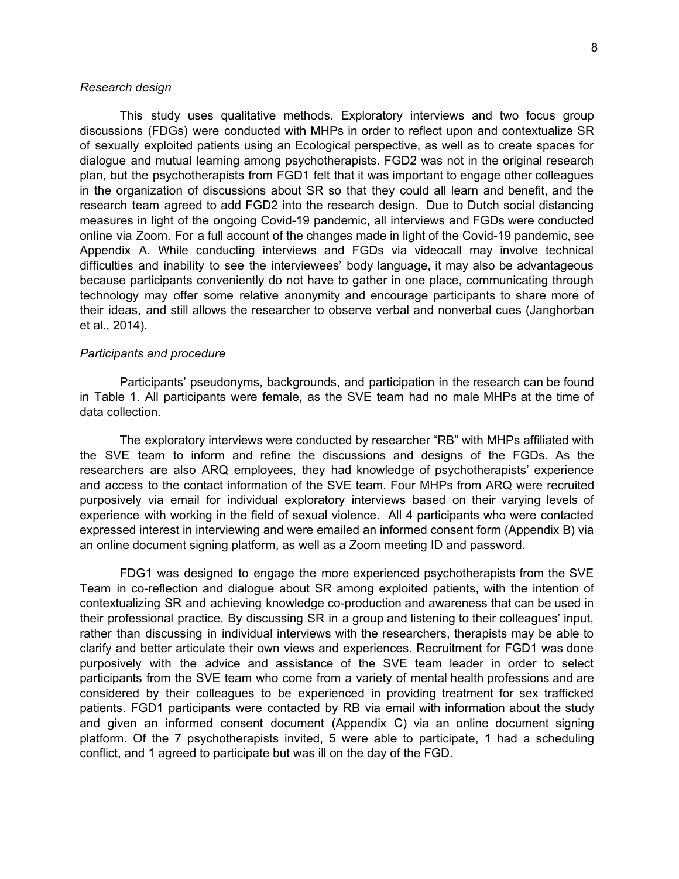#### *Research design*

This study uses qualitative methods. Exploratory interviews and two focus group discussions (FDGs) were conducted with MHPs in order to reflect upon and contextualize SR of sexually exploited patients using an Ecological perspective, as well as to create spaces for dialogue and mutual learning among psychotherapists. FGD2 was not in the original research plan, but the psychotherapists from FGD1 felt that it was important to engage other colleagues in the organization of discussions about SR so that they could all learn and benefit, and the research team agreed to add FGD2 into the research design. Due to Dutch social distancing measures in light of the ongoing Covid-19 pandemic, all interviews and FGDs were conducted online via Zoom. For a full account of the changes made in light of the Covid-19 pandemic, see Appendix A. While conducting interviews and FGDs via videocall may involve technical difficulties and inability to see the interviewees' body language, it may also be advantageous because participants conveniently do not have to gather in one place, communicating through technology may offer some relative anonymity and encourage participants to share more of their ideas, and still allows the researcher to observe verbal and nonverbal cues (Janghorban et al., 2014).

#### *Participants and procedure*

Participants' pseudonyms, backgrounds, and participation in the research can be found in Table 1. All participants were female, as the SVE team had no male MHPs at the time of data collection.

The exploratory interviews were conducted by researcher "RB" with MHPs affiliated with the SVE team to inform and refine the discussions and designs of the FGDs. As the researchers are also ARQ employees, they had knowledge of psychotherapists' experience and access to the contact information of the SVE team. Four MHPs from ARQ were recruited purposively via email for individual exploratory interviews based on their varying levels of experience with working in the field of sexual violence. All 4 participants who were contacted expressed interest in interviewing and were emailed an informed consent form (Appendix B) via an online document signing platform, as well as a Zoom meeting ID and password.

FDG1 was designed to engage the more experienced psychotherapists from the SVE Team in co-reflection and dialogue about SR among exploited patients, with the intention of contextualizing SR and achieving knowledge co-production and awareness that can be used in their professional practice. By discussing SR in a group and listening to their colleagues' input, rather than discussing in individual interviews with the researchers, therapists may be able to clarify and better articulate their own views and experiences. Recruitment for FGD1 was done purposively with the advice and assistance of the SVE team leader in order to select participants from the SVE team who come from a variety of mental health professions and are considered by their colleagues to be experienced in providing treatment for sex trafficked patients. FGD1 participants were contacted by RB via email with information about the study and given an informed consent document (Appendix C) via an online document signing platform. Of the 7 psychotherapists invited, 5 were able to participate, 1 had a scheduling conflict, and 1 agreed to participate but was ill on the day of the FGD.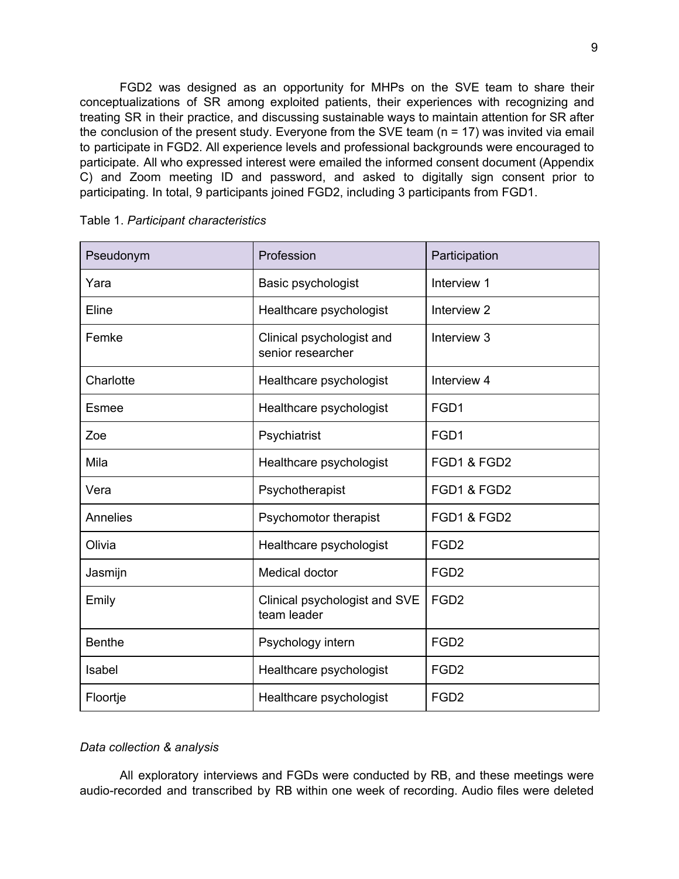FGD2 was designed as an opportunity for MHPs on the SVE team to share their conceptualizations of SR among exploited patients, their experiences with recognizing and treating SR in their practice, and discussing sustainable ways to maintain attention for SR after the conclusion of the present study. Everyone from the SVE team (n = 17) was invited via email to participate in FGD2. All experience levels and professional backgrounds were encouraged to participate. All who expressed interest were emailed the informed consent document (Appendix C) and Zoom meeting ID and password, and asked to digitally sign consent prior to participating. In total, 9 participants joined FGD2, including 3 participants from FGD1.

| Pseudonym     | Profession                                     | Participation    |
|---------------|------------------------------------------------|------------------|
| Yara          | Basic psychologist                             | Interview 1      |
| Eline         | Healthcare psychologist                        | Interview 2      |
| Femke         | Clinical psychologist and<br>senior researcher | Interview 3      |
| Charlotte     | Healthcare psychologist                        | Interview 4      |
| Esmee         | Healthcare psychologist                        | FGD1             |
| Zoe           | Psychiatrist                                   | FGD1             |
| Mila          | Healthcare psychologist                        | FGD1 & FGD2      |
| Vera          | Psychotherapist                                | FGD1 & FGD2      |
| Annelies      | Psychomotor therapist                          | FGD1 & FGD2      |
| Olivia        | Healthcare psychologist                        | FGD <sub>2</sub> |
| Jasmijn       | Medical doctor                                 | FGD <sub>2</sub> |
| Emily         | Clinical psychologist and SVE<br>team leader   | FGD <sub>2</sub> |
| <b>Benthe</b> | Psychology intern                              | FGD <sub>2</sub> |
| Isabel        | Healthcare psychologist                        | FGD <sub>2</sub> |
| Floortje      | Healthcare psychologist                        | FGD <sub>2</sub> |

### *Data collection & analysis*

All exploratory interviews and FGDs were conducted by RB, and these meetings were audio-recorded and transcribed by RB within one week of recording. Audio files were deleted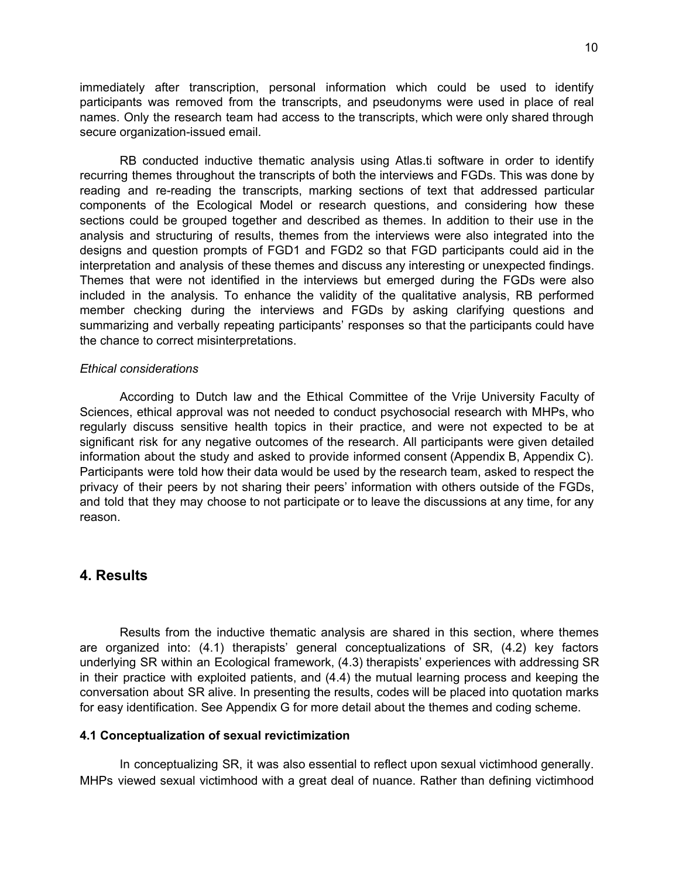immediately after transcription, personal information which could be used to identify participants was removed from the transcripts, and pseudonyms were used in place of real names. Only the research team had access to the transcripts, which were only shared through secure organization-issued email.

RB conducted inductive thematic analysis using Atlas.ti software in order to identify recurring themes throughout the transcripts of both the interviews and FGDs. This was done by reading and re-reading the transcripts, marking sections of text that addressed particular components of the Ecological Model or research questions, and considering how these sections could be grouped together and described as themes. In addition to their use in the analysis and structuring of results, themes from the interviews were also integrated into the designs and question prompts of FGD1 and FGD2 so that FGD participants could aid in the interpretation and analysis of these themes and discuss any interesting or unexpected findings. Themes that were not identified in the interviews but emerged during the FGDs were also included in the analysis. To enhance the validity of the qualitative analysis, RB performed member checking during the interviews and FGDs by asking clarifying questions and summarizing and verbally repeating participants' responses so that the participants could have the chance to correct misinterpretations.

#### *Ethical considerations*

According to Dutch law and the Ethical Committee of the Vrije University Faculty of Sciences, ethical approval was not needed to conduct psychosocial research with MHPs, who regularly discuss sensitive health topics in their practice, and were not expected to be at significant risk for any negative outcomes of the research. All participants were given detailed information about the study and asked to provide informed consent (Appendix B, Appendix C). Participants were told how their data would be used by the research team, asked to respect the privacy of their peers by not sharing their peers' information with others outside of the FGDs, and told that they may choose to not participate or to leave the discussions at any time, for any reason.

## **4. Results**

Results from the inductive thematic analysis are shared in this section, where themes are organized into: (4.1) therapists' general conceptualizations of SR, (4.2) key factors underlying SR within an Ecological framework, (4.3) therapists' experiences with addressing SR in their practice with exploited patients, and (4.4) the mutual learning process and keeping the conversation about SR alive. In presenting the results, codes will be placed into quotation marks for easy identification. See Appendix G for more detail about the themes and coding scheme.

#### **4.1 Conceptualization of sexual revictimization**

In conceptualizing SR, it was also essential to reflect upon sexual victimhood generally. MHPs viewed sexual victimhood with a great deal of nuance. Rather than defining victimhood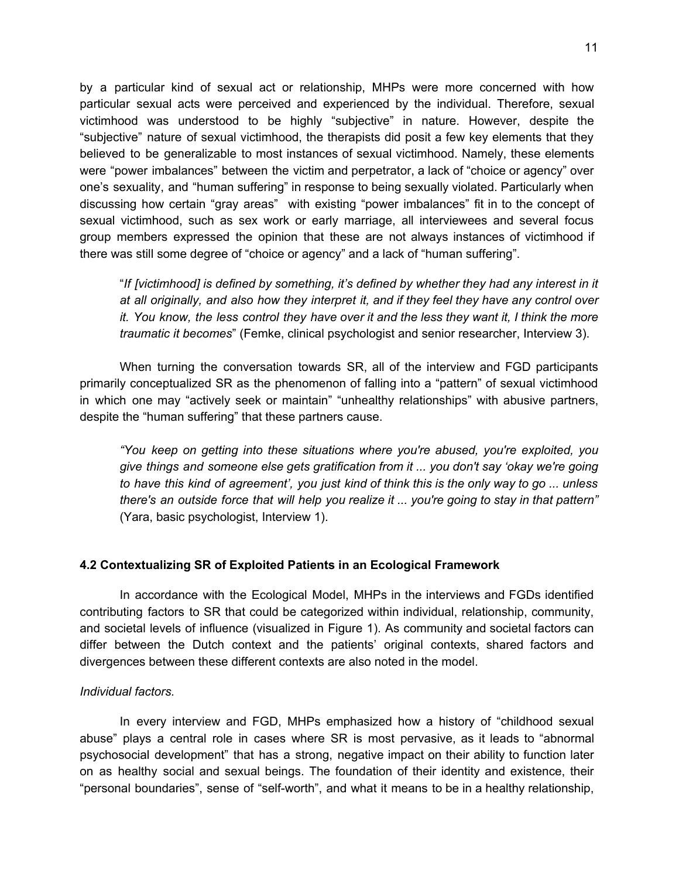by a particular kind of sexual act or relationship, MHPs were more concerned with how particular sexual acts were perceived and experienced by the individual. Therefore, sexual victimhood was understood to be highly "subjective" in nature. However, despite the "subjective" nature of sexual victimhood, the therapists did posit a few key elements that they believed to be generalizable to most instances of sexual victimhood. Namely, these elements were "power imbalances" between the victim and perpetrator, a lack of "choice or agency" over one's sexuality, and "human suffering" in response to being sexually violated. Particularly when discussing how certain "gray areas" with existing "power imbalances" fit in to the concept of sexual victimhood, such as sex work or early marriage, all interviewees and several focus group members expressed the opinion that these are not always instances of victimhood if there was still some degree of "choice or agency" and a lack of "human suffering".

"*If [victimhood] is defined by something, it's defined by whether they had any interest in it at all originally, and also how they interpret it, and if they feel they have any control over* it. You know, the less control they have over it and the less they want it, I think the more *traumatic it becomes*" (Femke, clinical psychologist and senior researcher, Interview 3).

When turning the conversation towards SR, all of the interview and FGD participants primarily conceptualized SR as the phenomenon of falling into a "pattern" of sexual victimhood in which one may "actively seek or maintain" "unhealthy relationships" with abusive partners, despite the "human suffering" that these partners cause.

*"You keep on getting into these situations where you're abused, you're exploited, you give things and someone else gets gratification from it ... you don't say 'okay we're going* to have this kind of agreement', you just kind of think this is the only way to go ... unless *there's an outside force that will help you realize it ... you're going to stay in that pattern"* (Yara, basic psychologist, Interview 1).

#### **4.2 Contextualizing SR of Exploited Patients in an Ecological Framework**

In accordance with the Ecological Model, MHPs in the interviews and FGDs identified contributing factors to SR that could be categorized within individual, relationship, community, and societal levels of influence (visualized in Figure 1). As community and societal factors can differ between the Dutch context and the patients' original contexts, shared factors and divergences between these different contexts are also noted in the model.

### *Individual factors.*

In every interview and FGD, MHPs emphasized how a history of "childhood sexual abuse" plays a central role in cases where SR is most pervasive, as it leads to "abnormal psychosocial development" that has a strong, negative impact on their ability to function later on as healthy social and sexual beings. The foundation of their identity and existence, their "personal boundaries", sense of "self-worth", and what it means to be in a healthy relationship,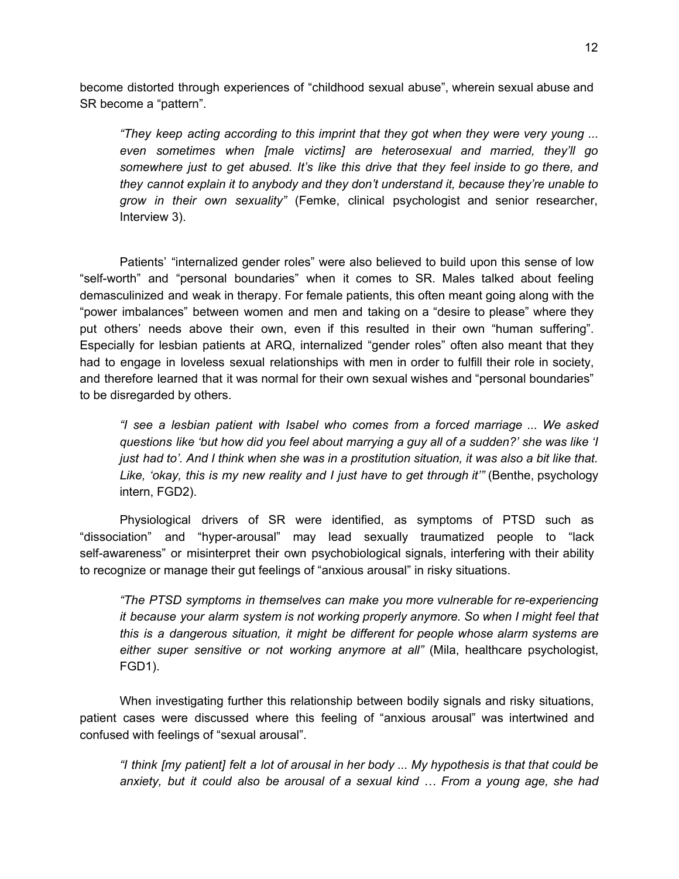become distorted through experiences of "childhood sexual abuse", wherein sexual abuse and SR become a "pattern".

*"They keep acting according to this imprint that they got when they were very young ... even sometimes when [male victims] are heterosexual and married, they'll go somewhere just to get abused. It's like this drive that they feel inside to go there, and they cannot explain it to anybody and they don't understand it, because they're unable to grow in their own sexuality"* (Femke, clinical psychologist and senior researcher, Interview 3).

Patients' "internalized gender roles" were also believed to build upon this sense of low "self-worth" and "personal boundaries" when it comes to SR. Males talked about feeling demasculinized and weak in therapy. For female patients, this often meant going along with the "power imbalances" between women and men and taking on a "desire to please" where they put others' needs above their own, even if this resulted in their own "human suffering". Especially for lesbian patients at ARQ, internalized "gender roles" often also meant that they had to engage in loveless sexual relationships with men in order to fulfill their role in society, and therefore learned that it was normal for their own sexual wishes and "personal boundaries" to be disregarded by others.

*"I see a lesbian patient with Isabel who comes from a forced marriage ... We asked questions like 'but how did you feel about marrying a guy all of a sudden?' she was like 'I* just had to'. And I think when she was in a prostitution situation, it was also a bit like that. *Like, 'okay, this is my new reality and I just have to get through it'"* (Benthe, psychology intern, FGD2).

Physiological drivers of SR were identified, as symptoms of PTSD such as "dissociation" and "hyper-arousal" may lead sexually traumatized people to "lack self-awareness" or misinterpret their own psychobiological signals, interfering with their ability to recognize or manage their gut feelings of "anxious arousal" in risky situations.

*"The PTSD symptoms in themselves can make you more vulnerable for re-experiencing it because your alarm system is not working properly anymore. So when I might feel that this is a dangerous situation, it might be different for people whose alarm systems are either super sensitive or not working anymore at all"* (Mila, healthcare psychologist, FGD1).

When investigating further this relationship between bodily signals and risky situations, patient cases were discussed where this feeling of "anxious arousal" was intertwined and confused with feelings of "sexual arousal".

"I think [my patient] felt a lot of arousal in her body ... My hypothesis is that that could be *anxiety, but it could also be arousal of a sexual kind … From a young age, she had*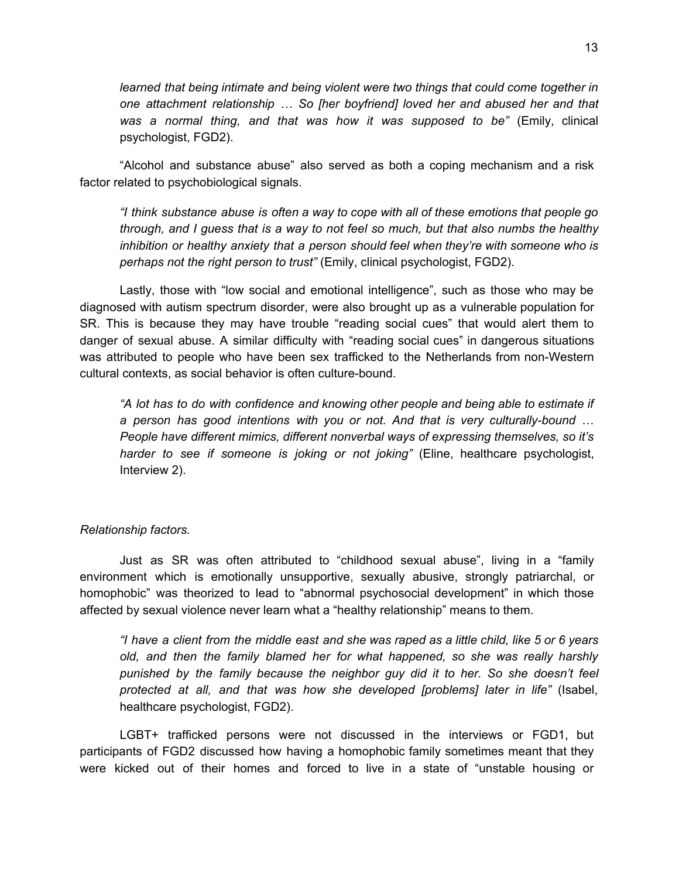*learned that being intimate and being violent were two things that could come together in one attachment relationship … So [her boyfriend] loved her and abused her and that was a normal thing, and that was how it was supposed to be"* (Emily, clinical psychologist, FGD2).

"Alcohol and substance abuse" also served as both a coping mechanism and a risk factor related to psychobiological signals.

*"I think substance abuse is often a way to cope with all of these emotions that people go through, and I guess that is a way to not feel so much, but that also numbs the healthy inhibition or healthy anxiety that a person should feel when they're with someone who is perhaps not the right person to trust"* (Emily, clinical psychologist, FGD2).

Lastly, those with "low social and emotional intelligence", such as those who may be diagnosed with autism spectrum disorder, were also brought up as a vulnerable population for SR. This is because they may have trouble "reading social cues" that would alert them to danger of sexual abuse. A similar difficulty with "reading social cues" in dangerous situations was attributed to people who have been sex trafficked to the Netherlands from non-Western cultural contexts, as social behavior is often culture-bound.

*"A lot has to do with confidence and knowing other people and being able to estimate if a person has good intentions with you or not. And that is very culturally-bound … People have different mimics, different nonverbal ways of expressing themselves, so it's harder to see if someone is joking or not joking"* (Eline, healthcare psychologist, Interview 2).

### *Relationship factors.*

Just as SR was often attributed to "childhood sexual abuse", living in a "family environment which is emotionally unsupportive, sexually abusive, strongly patriarchal, or homophobic" was theorized to lead to "abnormal psychosocial development" in which those affected by sexual violence never learn what a "healthy relationship" means to them.

"I have a client from the middle east and she was raped as a little child, like 5 or 6 years *old, and then the family blamed her for what happened, so she was really harshly punished by the family because the neighbor guy did it to her. So she doesn't feel protected at all, and that was how she developed [problems] later in life"* (Isabel, healthcare psychologist, FGD2).

LGBT+ trafficked persons were not discussed in the interviews or FGD1, but participants of FGD2 discussed how having a homophobic family sometimes meant that they were kicked out of their homes and forced to live in a state of "unstable housing or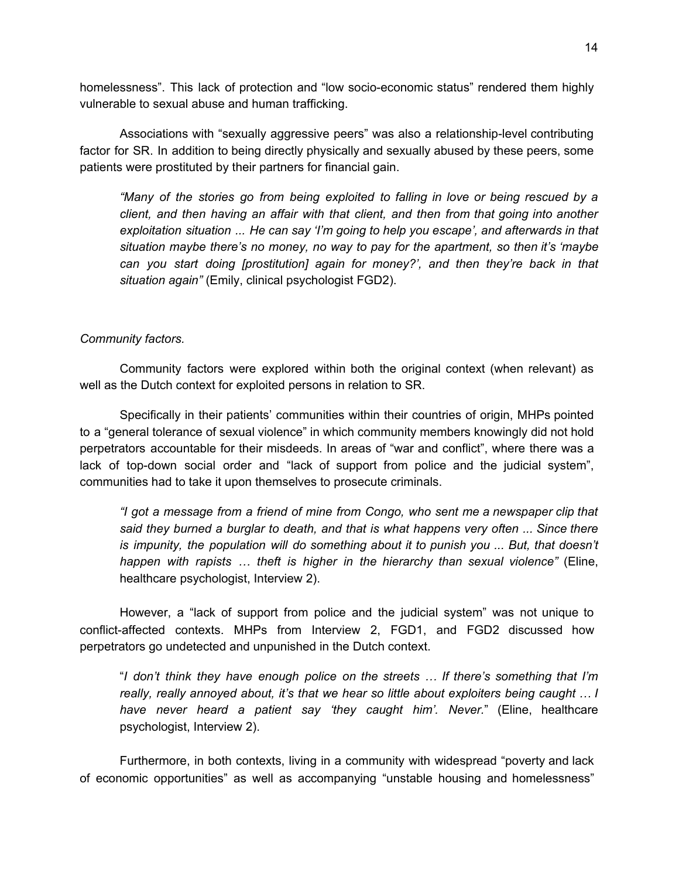homelessness". This lack of protection and "low socio-economic status" rendered them highly vulnerable to sexual abuse and human trafficking.

Associations with "sexually aggressive peers" was also a relationship-level contributing factor for SR. In addition to being directly physically and sexually abused by these peers, some patients were prostituted by their partners for financial gain.

*"Many of the stories go from being exploited to falling in love or being rescued by a client, and then having an affair with that client, and then from that going into another exploitation situation ... He can say 'I'm going to help you escape', and afterwards in that situation maybe there's no money, no way to pay for the apartment, so then it's 'maybe can you start doing [prostitution] again for money?', and then they're back in that situation again"* (Emily, clinical psychologist FGD2).

### *Community factors.*

Community factors were explored within both the original context (when relevant) as well as the Dutch context for exploited persons in relation to SR.

Specifically in their patients' communities within their countries of origin, MHPs pointed to a "general tolerance of sexual violence" in which community members knowingly did not hold perpetrators accountable for their misdeeds. In areas of "war and conflict", where there was a lack of top-down social order and "lack of support from police and the judicial system", communities had to take it upon themselves to prosecute criminals.

*"I got a message from a friend of mine from Congo, who sent me a newspaper clip that said they burned a burglar to death, and that is what happens very often ... Since there is impunity, the population will do something about it to punish you ... But, that doesn't happen with rapists … theft is higher in the hierarchy than sexual violence"* (Eline, healthcare psychologist, Interview 2).

However, a "lack of support from police and the judicial system" was not unique to conflict-affected contexts. MHPs from Interview 2, FGD1, and FGD2 discussed how perpetrators go undetected and unpunished in the Dutch context.

"*I don't think they have enough police on the streets … If there's something that I'm really, really annoyed about, it's that we hear so little about exploiters being caught … I have never heard a patient say 'they caught him'. Never.*" (Eline, healthcare psychologist, Interview 2).

Furthermore, in both contexts, living in a community with widespread "poverty and lack of economic opportunities" as well as accompanying "unstable housing and homelessness"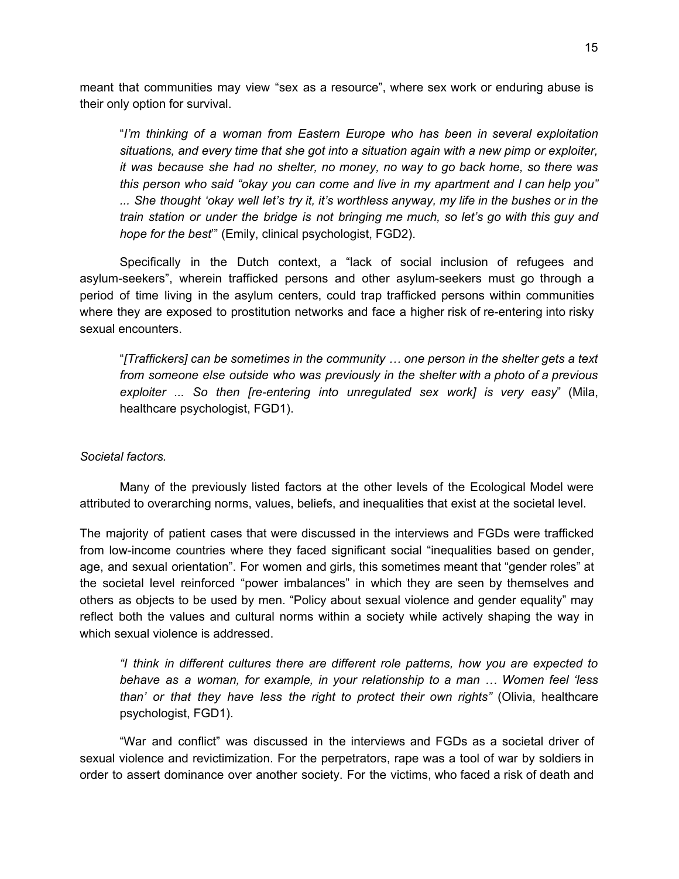meant that communities may view "sex as a resource", where sex work or enduring abuse is their only option for survival.

"*I'm thinking of a woman from Eastern Europe who has been in several exploitation situations, and every time that she got into a situation again with a new pimp or exploiter, it was because she had no shelter, no money, no way to go back home, so there was this person who said "okay you can come and live in my apartment and I can help you"* ... She thought 'okay well let's try it, it's worthless anyway, my life in the bushes or in the *train station or under the bridge is not bringing me much, so let's go with this guy and hope for the best*'" (Emily, clinical psychologist, FGD2).

Specifically in the Dutch context, a "lack of social inclusion of refugees and asylum-seekers", wherein trafficked persons and other asylum-seekers must go through a period of time living in the asylum centers, could trap trafficked persons within communities where they are exposed to prostitution networks and face a higher risk of re-entering into risky sexual encounters.

"*[Traffickers] can be sometimes in the community … one person in the shelter gets a text from someone else outside who was previously in the shelter with a photo of a previous exploiter ... So then [re-entering into unregulated sex work] is very easy*" (Mila, healthcare psychologist, FGD1).

### *Societal factors.*

Many of the previously listed factors at the other levels of the Ecological Model were attributed to overarching norms, values, beliefs, and inequalities that exist at the societal level.

The majority of patient cases that were discussed in the interviews and FGDs were trafficked from low-income countries where they faced significant social "inequalities based on gender, age, and sexual orientation". For women and girls, this sometimes meant that "gender roles" at the societal level reinforced "power imbalances" in which they are seen by themselves and others as objects to be used by men. "Policy about sexual violence and gender equality" may reflect both the values and cultural norms within a society while actively shaping the way in which sexual violence is addressed.

*"I think in different cultures there are different role patterns, how you are expected to behave as a woman, for example, in your relationship to a man … Women feel 'less than' or that they have less the right to protect their own rights"* (Olivia, healthcare psychologist, FGD1).

"War and conflict" was discussed in the interviews and FGDs as a societal driver of sexual violence and revictimization. For the perpetrators, rape was a tool of war by soldiers in order to assert dominance over another society. For the victims, who faced a risk of death and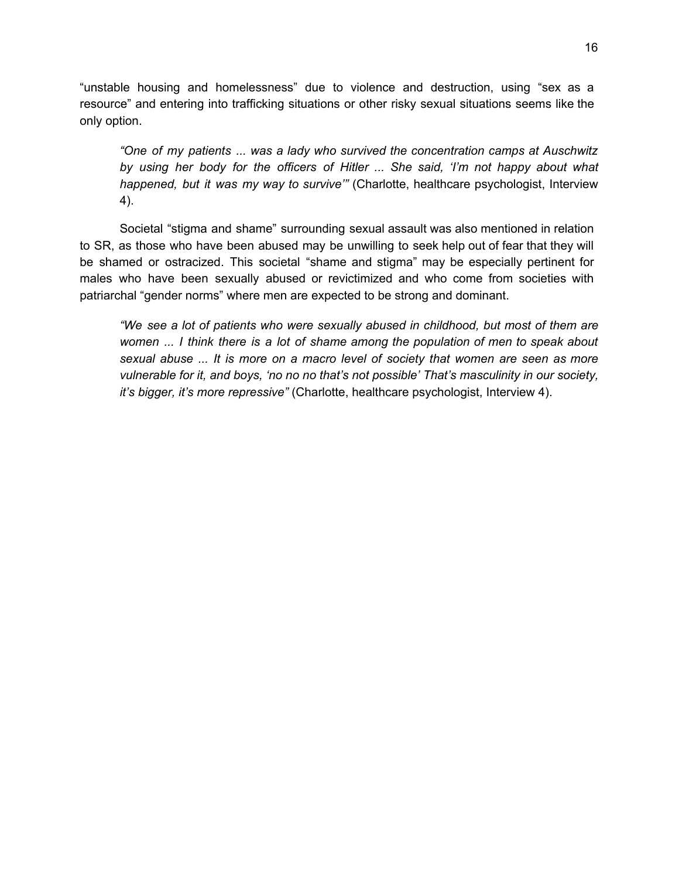"unstable housing and homelessness" due to violence and destruction, using "sex as a resource" and entering into trafficking situations or other risky sexual situations seems like the only option.

*"One of my patients ... was a lady who survived the concentration camps at Auschwitz by using her body for the officers of Hitler ... She said, 'I'm not happy about what happened, but it was my way to survive'"* (Charlotte, healthcare psychologist, Interview 4).

Societal "stigma and shame" surrounding sexual assault was also mentioned in relation to SR, as those who have been abused may be unwilling to seek help out of fear that they will be shamed or ostracized. This societal "shame and stigma" may be especially pertinent for males who have been sexually abused or revictimized and who come from societies with patriarchal "gender norms" where men are expected to be strong and dominant.

*"We see a lot of patients who were sexually abused in childhood, but most of them are women ... I think there is a lot of shame among the population of men to speak about sexual abuse ... It is more on a macro level of society that women are seen as more vulnerable for it, and boys, 'no no no that's not possible' That's masculinity in our society, it's bigger, it's more repressive"* (Charlotte, healthcare psychologist, Interview 4).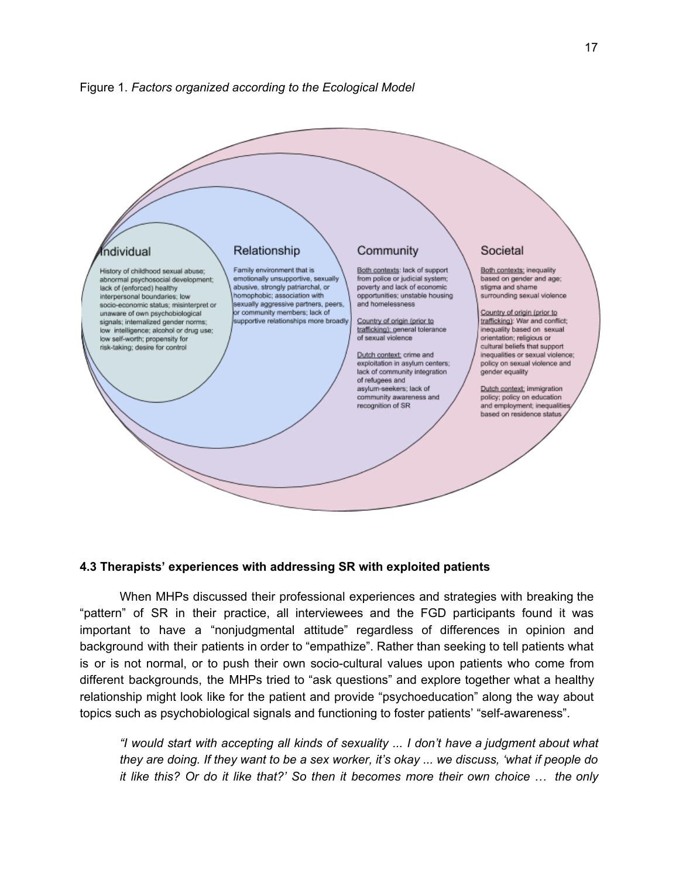



## **4.3 Therapists' experiences with addressing SR with exploited patients**

When MHPs discussed their professional experiences and strategies with breaking the "pattern" of SR in their practice, all interviewees and the FGD participants found it was important to have a "nonjudgmental attitude" regardless of differences in opinion and background with their patients in order to "empathize". Rather than seeking to tell patients what is or is not normal, or to push their own socio-cultural values upon patients who come from different backgrounds, the MHPs tried to "ask questions" and explore together what a healthy relationship might look like for the patient and provide "psychoeducation" along the way about topics such as psychobiological signals and functioning to foster patients' "self-awareness".

*"I would start with accepting all kinds of sexuality ... I don't have a judgment about what* they are doing. If they want to be a sex worker, it's okay ... we discuss, 'what if people do *it like this? Or do it like that?' So then it becomes more their own choice … the only*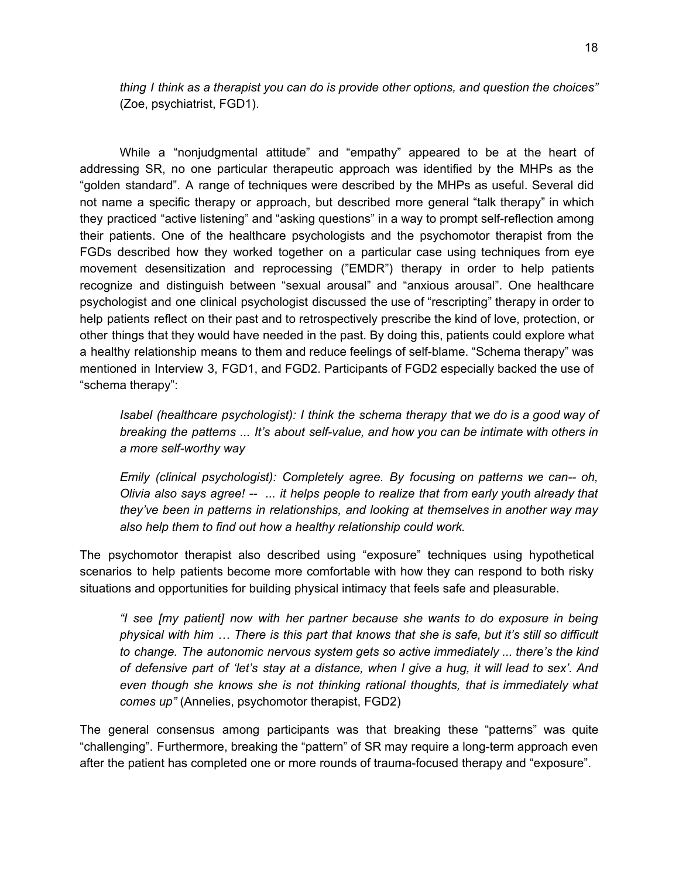*thing I think as a therapist you can do is provide other options, and question the choices"* (Zoe, psychiatrist, FGD1).

While a "nonjudgmental attitude" and "empathy" appeared to be at the heart of addressing SR, no one particular therapeutic approach was identified by the MHPs as the "golden standard". A range of techniques were described by the MHPs as useful. Several did not name a specific therapy or approach, but described more general "talk therapy" in which they practiced "active listening" and "asking questions" in a way to prompt self-reflection among their patients. One of the healthcare psychologists and the psychomotor therapist from the FGDs described how they worked together on a particular case using techniques from eye movement desensitization and reprocessing ("EMDR") therapy in order to help patients recognize and distinguish between "sexual arousal" and "anxious arousal". One healthcare psychologist and one clinical psychologist discussed the use of "rescripting" therapy in order to help patients reflect on their past and to retrospectively prescribe the kind of love, protection, or other things that they would have needed in the past. By doing this, patients could explore what a healthy relationship means to them and reduce feelings of self-blame. "Schema therapy" was mentioned in Interview 3, FGD1, and FGD2. Participants of FGD2 especially backed the use of "schema therapy":

*Isabel (healthcare psychologist): I think the schema therapy that we do is a good way of breaking the patterns ... It's about self-value, and how you can be intimate with others in a more self-worthy way*

*Emily (clinical psychologist): Completely agree. By focusing on patterns we can-- oh, Olivia also says agree! -- ... it helps people to realize that from early youth already that they've been in patterns in relationships, and looking at themselves in another way may also help them to find out how a healthy relationship could work.*

The psychomotor therapist also described using "exposure" techniques using hypothetical scenarios to help patients become more comfortable with how they can respond to both risky situations and opportunities for building physical intimacy that feels safe and pleasurable.

*"I see [my patient] now with her partner because she wants to do exposure in being* physical with him ... There is this part that knows that she is safe, but it's still so difficult *to change. The autonomic nervous system gets so active immediately ... there's the kind* of defensive part of 'let's stay at a distance, when I give a hug, it will lead to sex'. And *even though she knows she is not thinking rational thoughts, that is immediately what comes up"* (Annelies, psychomotor therapist, FGD2)

The general consensus among participants was that breaking these "patterns" was quite "challenging". Furthermore, breaking the "pattern" of SR may require a long-term approach even after the patient has completed one or more rounds of trauma-focused therapy and "exposure".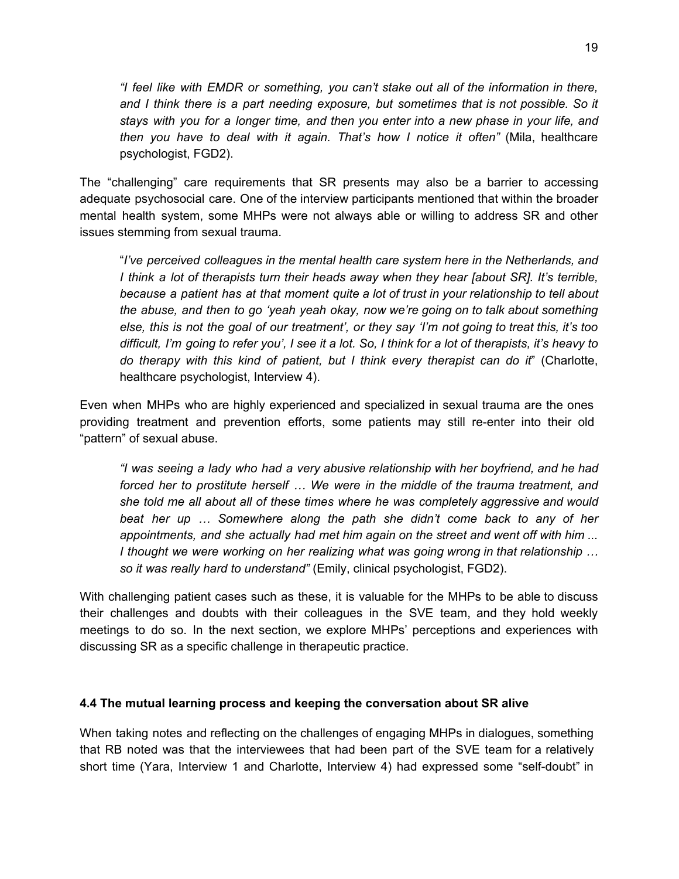*"I feel like with EMDR or something, you can't stake out all of the information in there, and I think there is a part needing exposure, but sometimes that is not possible. So it stays with you for a longer time, and then you enter into a new phase in your life, and then you have to deal with it again. That's how I notice it often"* (Mila, healthcare psychologist, FGD2).

The "challenging" care requirements that SR presents may also be a barrier to accessing adequate psychosocial care. One of the interview participants mentioned that within the broader mental health system, some MHPs were not always able or willing to address SR and other issues stemming from sexual trauma.

"*I've perceived colleagues in the mental health care system here in the Netherlands, and I think a lot of therapists turn their heads away when they hear [about SR]. It's terrible, because a patient has at that moment quite a lot of trust in your relationship to tell about the abuse, and then to go 'yeah yeah okay, now we're going on to talk about something* else, this is not the goal of our treatment', or they say 'I'm not going to treat this, it's too difficult, I'm going to refer you', I see it a lot. So, I think for a lot of therapists, it's heavy to *do therapy with this kind of patient, but I think every therapist can do it*" (Charlotte, healthcare psychologist, Interview 4).

Even when MHPs who are highly experienced and specialized in sexual trauma are the ones providing treatment and prevention efforts, some patients may still re-enter into their old "pattern" of sexual abuse.

*"I was seeing a lady who had a very abusive relationship with her boyfriend, and he had forced her to prostitute herself … We were in the middle of the trauma treatment, and she told me all about all of these times where he was completely aggressive and would beat her up … Somewhere along the path she didn't come back to any of her appointments, and she actually had met him again on the street and went off with him ... I thought we were working on her realizing what was going wrong in that relationship … so it was really hard to understand"* (Emily, clinical psychologist, FGD2).

With challenging patient cases such as these, it is valuable for the MHPs to be able to discuss their challenges and doubts with their colleagues in the SVE team, and they hold weekly meetings to do so. In the next section, we explore MHPs' perceptions and experiences with discussing SR as a specific challenge in therapeutic practice.

### **4.4 The mutual learning process and keeping the conversation about SR alive**

When taking notes and reflecting on the challenges of engaging MHPs in dialogues, something that RB noted was that the interviewees that had been part of the SVE team for a relatively short time (Yara, Interview 1 and Charlotte, Interview 4) had expressed some "self-doubt" in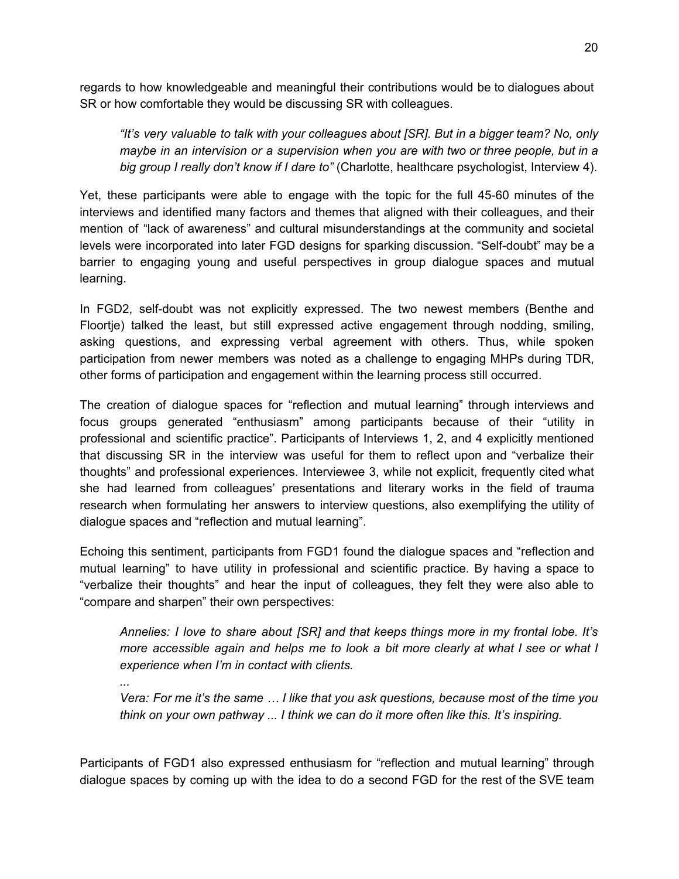regards to how knowledgeable and meaningful their contributions would be to dialogues about SR or how comfortable they would be discussing SR with colleagues.

*"It's very valuable to talk with your colleagues about [SR]. But in a bigger team? No, only maybe in an intervision or a supervision when you are with two or three people, but in a big group I really don't know if I dare to"* (Charlotte, healthcare psychologist, Interview 4).

Yet, these participants were able to engage with the topic for the full 45-60 minutes of the interviews and identified many factors and themes that aligned with their colleagues, and their mention of "lack of awareness" and cultural misunderstandings at the community and societal levels were incorporated into later FGD designs for sparking discussion. "Self-doubt" may be a barrier to engaging young and useful perspectives in group dialogue spaces and mutual learning.

In FGD2, self-doubt was not explicitly expressed. The two newest members (Benthe and Floortje) talked the least, but still expressed active engagement through nodding, smiling, asking questions, and expressing verbal agreement with others. Thus, while spoken participation from newer members was noted as a challenge to engaging MHPs during TDR, other forms of participation and engagement within the learning process still occurred.

The creation of dialogue spaces for "reflection and mutual learning" through interviews and focus groups generated "enthusiasm" among participants because of their "utility in professional and scientific practice". Participants of Interviews 1, 2, and 4 explicitly mentioned that discussing SR in the interview was useful for them to reflect upon and "verbalize their thoughts" and professional experiences. Interviewee 3, while not explicit, frequently cited what she had learned from colleagues' presentations and literary works in the field of trauma research when formulating her answers to interview questions, also exemplifying the utility of dialogue spaces and "reflection and mutual learning".

Echoing this sentiment, participants from FGD1 found the dialogue spaces and "reflection and mutual learning" to have utility in professional and scientific practice. By having a space to "verbalize their thoughts" and hear the input of colleagues, they felt they were also able to "compare and sharpen" their own perspectives:

*Annelies: I love to share about [SR] and that keeps things more in my frontal lobe. It's more accessible again and helps me to look a bit more clearly at what I see or what I experience when I'm in contact with clients.*

*...*

*Vera: For me it's the same … I like that you ask questions, because most of the time you think on your own pathway ... I think we can do it more often like this. It's inspiring.*

Participants of FGD1 also expressed enthusiasm for "reflection and mutual learning" through dialogue spaces by coming up with the idea to do a second FGD for the rest of the SVE team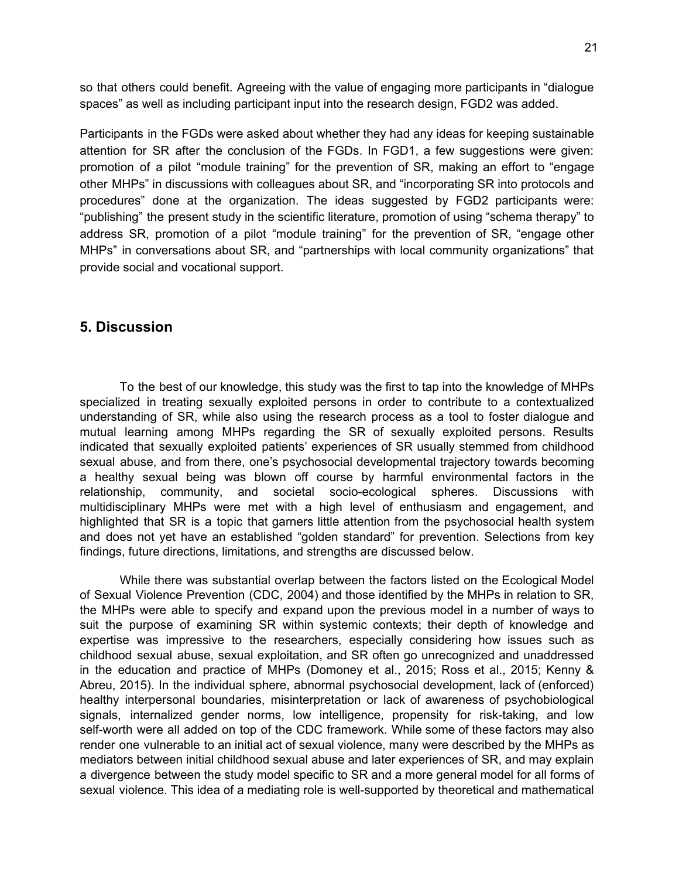so that others could benefit. Agreeing with the value of engaging more participants in "dialogue spaces" as well as including participant input into the research design, FGD2 was added.

Participants in the FGDs were asked about whether they had any ideas for keeping sustainable attention for SR after the conclusion of the FGDs. In FGD1, a few suggestions were given: promotion of a pilot "module training" for the prevention of SR, making an effort to "engage other MHPs" in discussions with colleagues about SR, and "incorporating SR into protocols and procedures" done at the organization. The ideas suggested by FGD2 participants were: "publishing" the present study in the scientific literature, promotion of using "schema therapy" to address SR, promotion of a pilot "module training" for the prevention of SR, "engage other MHPs" in conversations about SR, and "partnerships with local community organizations" that provide social and vocational support.

## **5. Discussion**

To the best of our knowledge, this study was the first to tap into the knowledge of MHPs specialized in treating sexually exploited persons in order to contribute to a contextualized understanding of SR, while also using the research process as a tool to foster dialogue and mutual learning among MHPs regarding the SR of sexually exploited persons. Results indicated that sexually exploited patients' experiences of SR usually stemmed from childhood sexual abuse, and from there, one's psychosocial developmental trajectory towards becoming a healthy sexual being was blown off course by harmful environmental factors in the relationship, community, and societal socio-ecological spheres. Discussions with multidisciplinary MHPs were met with a high level of enthusiasm and engagement, and highlighted that SR is a topic that garners little attention from the psychosocial health system and does not yet have an established "golden standard" for prevention. Selections from key findings, future directions, limitations, and strengths are discussed below.

While there was substantial overlap between the factors listed on the Ecological Model of Sexual Violence Prevention (CDC, 2004) and those identified by the MHPs in relation to SR, the MHPs were able to specify and expand upon the previous model in a number of ways to suit the purpose of examining SR within systemic contexts; their depth of knowledge and expertise was impressive to the researchers, especially considering how issues such as childhood sexual abuse, sexual exploitation, and SR often go unrecognized and unaddressed in the education and practice of MHPs (Domoney et al., 2015; Ross et al., 2015; Kenny & Abreu, 2015). In the individual sphere, abnormal psychosocial development, lack of (enforced) healthy interpersonal boundaries, misinterpretation or lack of awareness of psychobiological signals, internalized gender norms, low intelligence, propensity for risk-taking, and low self-worth were all added on top of the CDC framework. While some of these factors may also render one vulnerable to an initial act of sexual violence, many were described by the MHPs as mediators between initial childhood sexual abuse and later experiences of SR, and may explain a divergence between the study model specific to SR and a more general model for all forms of sexual violence. This idea of a mediating role is well-supported by theoretical and mathematical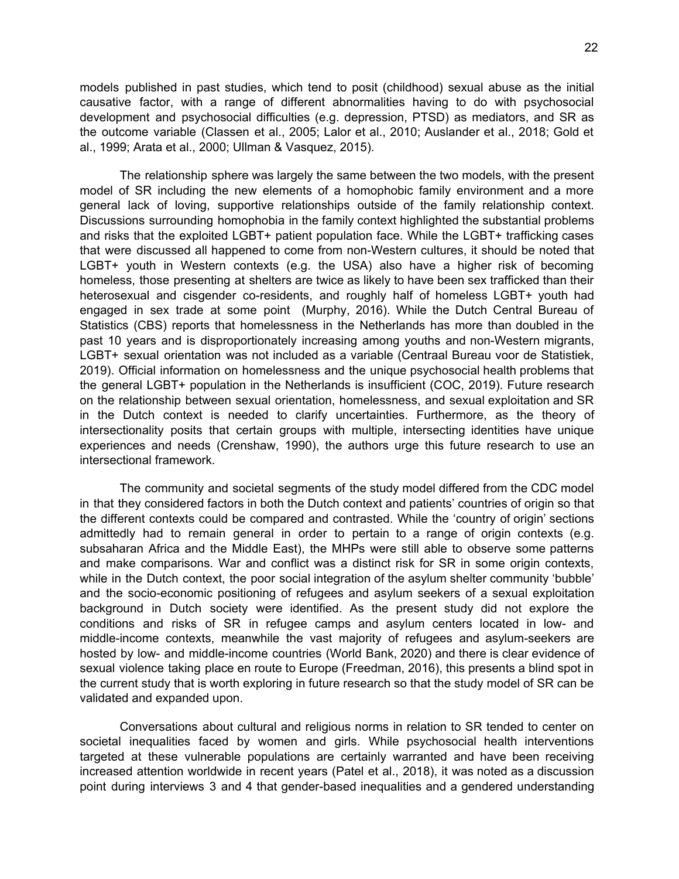models published in past studies, which tend to posit (childhood) sexual abuse as the initial causative factor, with a range of different abnormalities having to do with psychosocial development and psychosocial difficulties (e.g. depression, PTSD) as mediators, and SR as the outcome variable (Classen et al., 2005; Lalor et al., 2010; Auslander et al., 2018; Gold et al., 1999; Arata et al., 2000; Ullman & Vasquez, 2015).

The relationship sphere was largely the same between the two models, with the present model of SR including the new elements of a homophobic family environment and a more general lack of loving, supportive relationships outside of the family relationship context. Discussions surrounding homophobia in the family context highlighted the substantial problems and risks that the exploited LGBT+ patient population face. While the LGBT+ trafficking cases that were discussed all happened to come from non-Western cultures, it should be noted that LGBT+ youth in Western contexts (e.g. the USA) also have a higher risk of becoming homeless, those presenting at shelters are twice as likely to have been sex trafficked than their heterosexual and cisgender co-residents, and roughly half of homeless LGBT+ youth had engaged in sex trade at some point (Murphy, 2016). While the Dutch Central Bureau of Statistics (CBS) reports that homelessness in the Netherlands has more than doubled in the past 10 years and is disproportionately increasing among youths and non-Western migrants, LGBT+ sexual orientation was not included as a variable (Centraal Bureau voor de Statistiek, 2019). Official information on homelessness and the unique psychosocial health problems that the general LGBT+ population in the Netherlands is insufficient (COC, 2019). Future research on the relationship between sexual orientation, homelessness, and sexual exploitation and SR in the Dutch context is needed to clarify uncertainties. Furthermore, as the theory of intersectionality posits that certain groups with multiple, intersecting identities have unique experiences and needs (Crenshaw, 1990), the authors urge this future research to use an intersectional framework.

The community and societal segments of the study model differed from the CDC model in that they considered factors in both the Dutch context and patients' countries of origin so that the different contexts could be compared and contrasted. While the 'country of origin' sections admittedly had to remain general in order to pertain to a range of origin contexts (e.g. subsaharan Africa and the Middle East), the MHPs were still able to observe some patterns and make comparisons. War and conflict was a distinct risk for SR in some origin contexts, while in the Dutch context, the poor social integration of the asylum shelter community 'bubble' and the socio-economic positioning of refugees and asylum seekers of a sexual exploitation background in Dutch society were identified. As the present study did not explore the conditions and risks of SR in refugee camps and asylum centers located in low- and middle-income contexts, meanwhile the vast majority of refugees and asylum-seekers are hosted by low- and middle-income countries (World Bank, 2020) and there is clear evidence of sexual violence taking place en route to Europe (Freedman, 2016), this presents a blind spot in the current study that is worth exploring in future research so that the study model of SR can be validated and expanded upon.

Conversations about cultural and religious norms in relation to SR tended to center on societal inequalities faced by women and girls. While psychosocial health interventions targeted at these vulnerable populations are certainly warranted and have been receiving increased attention worldwide in recent years (Patel et al., 2018), it was noted as a discussion point during interviews 3 and 4 that gender-based inequalities and a gendered understanding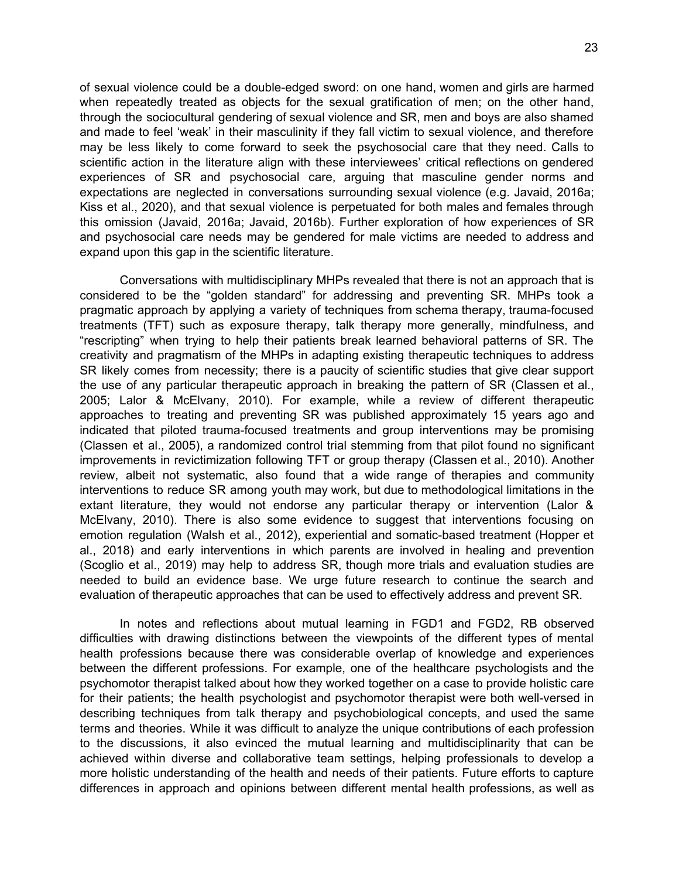of sexual violence could be a double-edged sword: on one hand, women and girls are harmed when repeatedly treated as objects for the sexual gratification of men; on the other hand, through the sociocultural gendering of sexual violence and SR, men and boys are also shamed and made to feel 'weak' in their masculinity if they fall victim to sexual violence, and therefore may be less likely to come forward to seek the psychosocial care that they need. Calls to scientific action in the literature align with these interviewees' critical reflections on gendered experiences of SR and psychosocial care, arguing that masculine gender norms and expectations are neglected in conversations surrounding sexual violence (e.g. Javaid, 2016a; Kiss et al., 2020), and that sexual violence is perpetuated for both males and females through this omission (Javaid, 2016a; Javaid, 2016b). Further exploration of how experiences of SR and psychosocial care needs may be gendered for male victims are needed to address and expand upon this gap in the scientific literature.

Conversations with multidisciplinary MHPs revealed that there is not an approach that is considered to be the "golden standard" for addressing and preventing SR. MHPs took a pragmatic approach by applying a variety of techniques from schema therapy, trauma-focused treatments (TFT) such as exposure therapy, talk therapy more generally, mindfulness, and "rescripting" when trying to help their patients break learned behavioral patterns of SR. The creativity and pragmatism of the MHPs in adapting existing therapeutic techniques to address SR likely comes from necessity; there is a paucity of scientific studies that give clear support the use of any particular therapeutic approach in breaking the pattern of SR (Classen et al., 2005; Lalor & McElvany, 2010). For example, while a review of different therapeutic approaches to treating and preventing SR was published approximately 15 years ago and indicated that piloted trauma-focused treatments and group interventions may be promising (Classen et al., 2005), a randomized control trial stemming from that pilot found no significant improvements in revictimization following TFT or group therapy (Classen et al., 2010). Another review, albeit not systematic, also found that a wide range of therapies and community interventions to reduce SR among youth may work, but due to methodological limitations in the extant literature, they would not endorse any particular therapy or intervention (Lalor & McElvany, 2010). There is also some evidence to suggest that interventions focusing on emotion regulation (Walsh et al., 2012), experiential and somatic-based treatment (Hopper et al., 2018) and early interventions in which parents are involved in healing and prevention (Scoglio et al., 2019) may help to address SR, though more trials and evaluation studies are needed to build an evidence base. We urge future research to continue the search and evaluation of therapeutic approaches that can be used to effectively address and prevent SR.

In notes and reflections about mutual learning in FGD1 and FGD2, RB observed difficulties with drawing distinctions between the viewpoints of the different types of mental health professions because there was considerable overlap of knowledge and experiences between the different professions. For example, one of the healthcare psychologists and the psychomotor therapist talked about how they worked together on a case to provide holistic care for their patients; the health psychologist and psychomotor therapist were both well-versed in describing techniques from talk therapy and psychobiological concepts, and used the same terms and theories. While it was difficult to analyze the unique contributions of each profession to the discussions, it also evinced the mutual learning and multidisciplinarity that can be achieved within diverse and collaborative team settings, helping professionals to develop a more holistic understanding of the health and needs of their patients. Future efforts to capture differences in approach and opinions between different mental health professions, as well as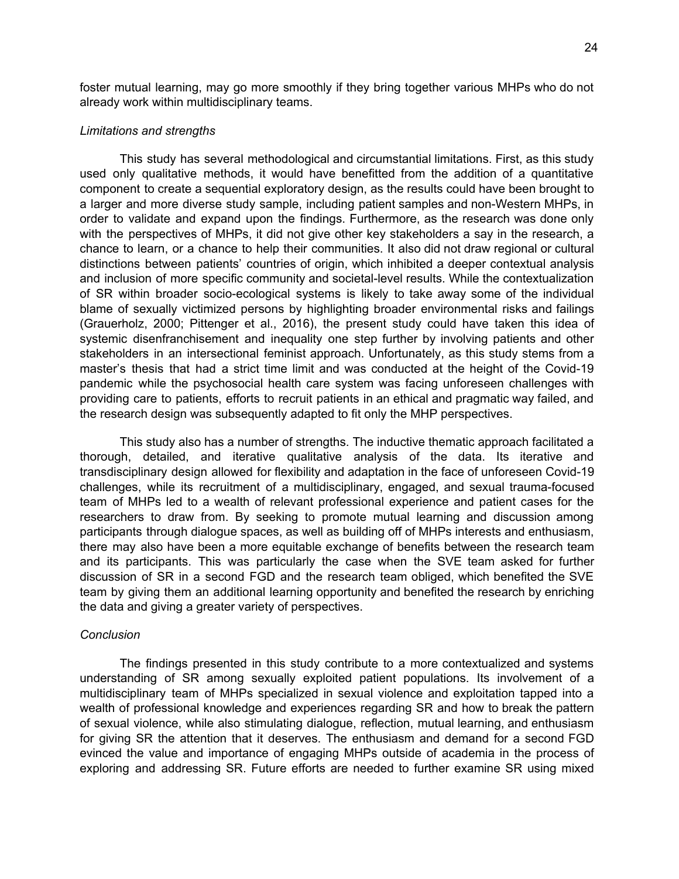foster mutual learning, may go more smoothly if they bring together various MHPs who do not already work within multidisciplinary teams.

#### *Limitations and strengths*

This study has several methodological and circumstantial limitations. First, as this study used only qualitative methods, it would have benefitted from the addition of a quantitative component to create a sequential exploratory design, as the results could have been brought to a larger and more diverse study sample, including patient samples and non-Western MHPs, in order to validate and expand upon the findings. Furthermore, as the research was done only with the perspectives of MHPs, it did not give other key stakeholders a say in the research, a chance to learn, or a chance to help their communities. It also did not draw regional or cultural distinctions between patients' countries of origin, which inhibited a deeper contextual analysis and inclusion of more specific community and societal-level results. While the contextualization of SR within broader socio-ecological systems is likely to take away some of the individual blame of sexually victimized persons by highlighting broader environmental risks and failings (Grauerholz, 2000; Pittenger et al., 2016), the present study could have taken this idea of systemic disenfranchisement and inequality one step further by involving patients and other stakeholders in an intersectional feminist approach. Unfortunately, as this study stems from a master's thesis that had a strict time limit and was conducted at the height of the Covid-19 pandemic while the psychosocial health care system was facing unforeseen challenges with providing care to patients, efforts to recruit patients in an ethical and pragmatic way failed, and the research design was subsequently adapted to fit only the MHP perspectives.

This study also has a number of strengths. The inductive thematic approach facilitated a thorough, detailed, and iterative qualitative analysis of the data. Its iterative and transdisciplinary design allowed for flexibility and adaptation in the face of unforeseen Covid-19 challenges, while its recruitment of a multidisciplinary, engaged, and sexual trauma-focused team of MHPs led to a wealth of relevant professional experience and patient cases for the researchers to draw from. By seeking to promote mutual learning and discussion among participants through dialogue spaces, as well as building off of MHPs interests and enthusiasm, there may also have been a more equitable exchange of benefits between the research team and its participants. This was particularly the case when the SVE team asked for further discussion of SR in a second FGD and the research team obliged, which benefited the SVE team by giving them an additional learning opportunity and benefited the research by enriching the data and giving a greater variety of perspectives.

#### *Conclusion*

The findings presented in this study contribute to a more contextualized and systems understanding of SR among sexually exploited patient populations. Its involvement of a multidisciplinary team of MHPs specialized in sexual violence and exploitation tapped into a wealth of professional knowledge and experiences regarding SR and how to break the pattern of sexual violence, while also stimulating dialogue, reflection, mutual learning, and enthusiasm for giving SR the attention that it deserves. The enthusiasm and demand for a second FGD evinced the value and importance of engaging MHPs outside of academia in the process of exploring and addressing SR. Future efforts are needed to further examine SR using mixed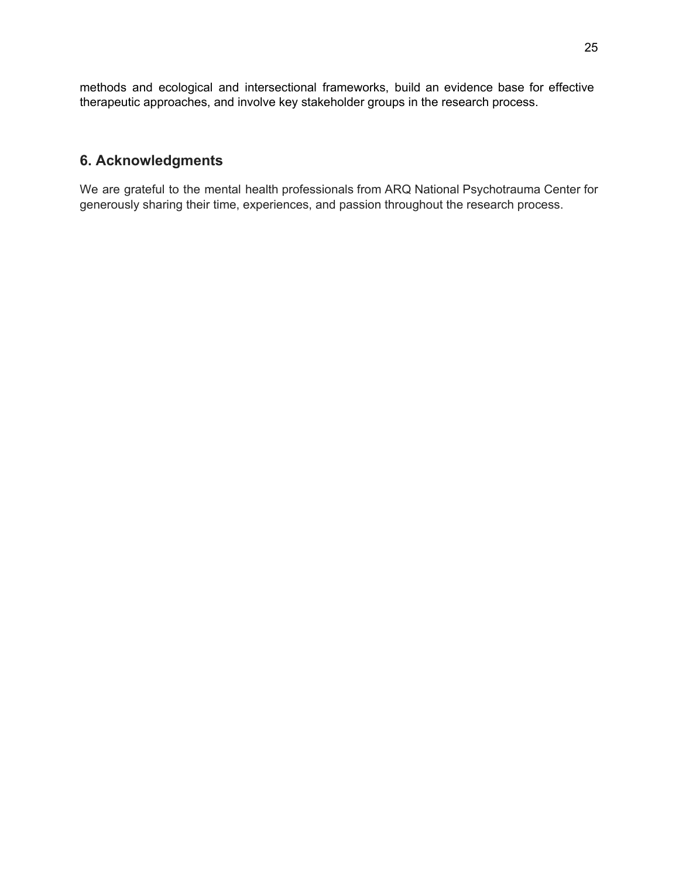methods and ecological and intersectional frameworks, build an evidence base for effective therapeutic approaches, and involve key stakeholder groups in the research process.

# **6. Acknowledgments**

We are grateful to the mental health professionals from ARQ National Psychotrauma Center for generously sharing their time, experiences, and passion throughout the research process.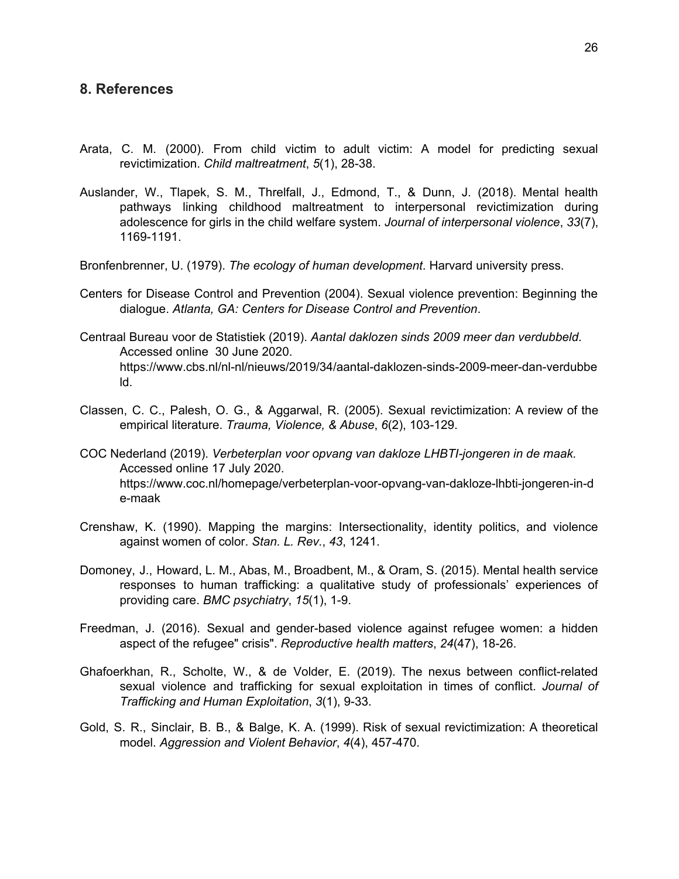## **8. References**

- Arata, C. M. (2000). From child victim to adult victim: A model for predicting sexual revictimization. *Child maltreatment*, *5*(1), 28-38.
- Auslander, W., Tlapek, S. M., Threlfall, J., Edmond, T., & Dunn, J. (2018). Mental health pathways linking childhood maltreatment to interpersonal revictimization during adolescence for girls in the child welfare system. *Journal of interpersonal violence*, *33*(7), 1169-1191.
- Bronfenbrenner, U. (1979). *The ecology of human development*. Harvard university press.
- Centers for Disease Control and Prevention (2004). Sexual violence prevention: Beginning the dialogue. *Atlanta, GA: Centers for Disease Control and Prevention*.
- Centraal Bureau voor de Statistiek (2019). *Aantal daklozen sinds 2009 meer dan verdubbeld*. Accessed online 30 June 2020. https://www.cbs.nl/nl-nl/nieuws/2019/34/aantal-daklozen-sinds-2009-meer-dan-verdubbe ld.
- Classen, C. C., Palesh, O. G., & Aggarwal, R. (2005). Sexual revictimization: A review of the empirical literature. *Trauma, Violence, & Abuse*, *6*(2), 103-129.
- COC Nederland (2019). *Verbeterplan voor opvang van dakloze LHBTI-jongeren in de maak.* Accessed online 17 July 2020. https://www.coc.nl/homepage/verbeterplan-voor-opvang-van-dakloze-lhbti-jongeren-in-d e-maak
- Crenshaw, K. (1990). Mapping the margins: Intersectionality, identity politics, and violence against women of color. *Stan. L. Rev.*, *43*, 1241.
- Domoney, J., Howard, L. M., Abas, M., Broadbent, M., & Oram, S. (2015). Mental health service responses to human trafficking: a qualitative study of professionals' experiences of providing care. *BMC psychiatry*, *15*(1), 1-9.
- Freedman, J. (2016). Sexual and gender-based violence against refugee women: a hidden aspect of the refugee" crisis". *Reproductive health matters*, *24*(47), 18-26.
- Ghafoerkhan, R., Scholte, W., & de Volder, E. (2019). The nexus between conflict-related sexual violence and trafficking for sexual exploitation in times of conflict. *Journal of Trafficking and Human Exploitation*, *3*(1), 9-33.
- Gold, S. R., Sinclair, B. B., & Balge, K. A. (1999). Risk of sexual revictimization: A theoretical model. *Aggression and Violent Behavior*, *4*(4), 457-470.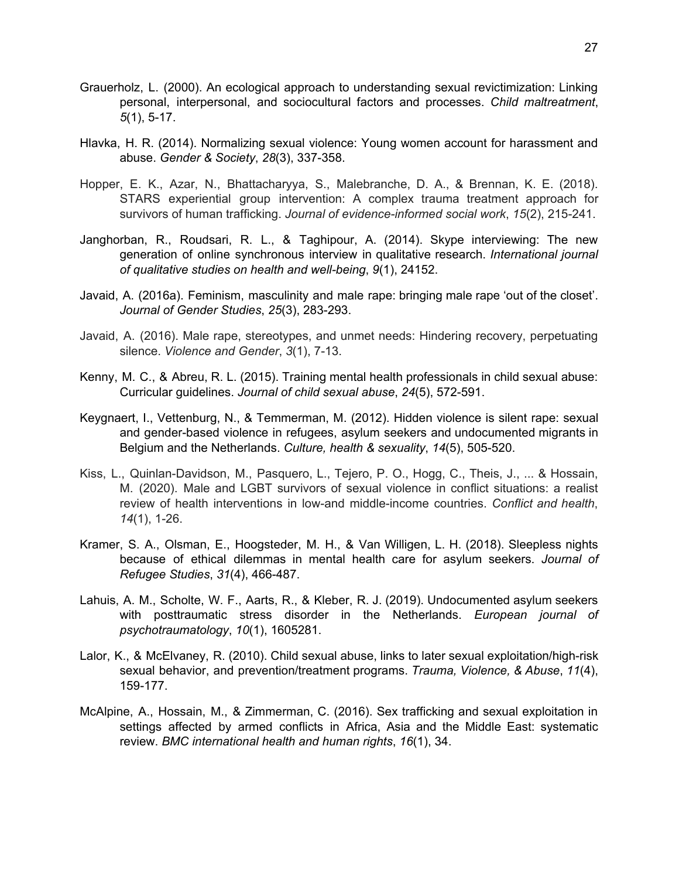- Grauerholz, L. (2000). An ecological approach to understanding sexual revictimization: Linking personal, interpersonal, and sociocultural factors and processes. *Child maltreatment*, *5*(1), 5-17.
- Hlavka, H. R. (2014). Normalizing sexual violence: Young women account for harassment and abuse. *Gender & Society*, *28*(3), 337-358.
- Hopper, E. K., Azar, N., Bhattacharyya, S., Malebranche, D. A., & Brennan, K. E. (2018). STARS experiential group intervention: A complex trauma treatment approach for survivors of human trafficking. *Journal of evidence-informed social work*, *15*(2), 215-241.
- Janghorban, R., Roudsari, R. L., & Taghipour, A. (2014). Skype interviewing: The new generation of online synchronous interview in qualitative research. *International journal of qualitative studies on health and well-being*, *9*(1), 24152.
- Javaid, A. (2016a). Feminism, masculinity and male rape: bringing male rape 'out of the closet'. *Journal of Gender Studies*, *25*(3), 283-293.
- Javaid, A. (2016). Male rape, stereotypes, and unmet needs: Hindering recovery, perpetuating silence. *Violence and Gender*, *3*(1), 7-13.
- Kenny, M. C., & Abreu, R. L. (2015). Training mental health professionals in child sexual abuse: Curricular guidelines. *Journal of child sexual abuse*, *24*(5), 572-591.
- Keygnaert, I., Vettenburg, N., & Temmerman, M. (2012). Hidden violence is silent rape: sexual and gender-based violence in refugees, asylum seekers and undocumented migrants in Belgium and the Netherlands. *Culture, health & sexuality*, *14*(5), 505-520.
- Kiss, L., Quinlan-Davidson, M., Pasquero, L., Tejero, P. O., Hogg, C., Theis, J., ... & Hossain, M. (2020). Male and LGBT survivors of sexual violence in conflict situations: a realist review of health interventions in low-and middle-income countries. *Conflict and health*, *14*(1), 1-26.
- Kramer, S. A., Olsman, E., Hoogsteder, M. H., & Van Willigen, L. H. (2018). Sleepless nights because of ethical dilemmas in mental health care for asylum seekers. *Journal of Refugee Studies*, *31*(4), 466-487.
- Lahuis, A. M., Scholte, W. F., Aarts, R., & Kleber, R. J. (2019). Undocumented asylum seekers with posttraumatic stress disorder in the Netherlands. *European journal of psychotraumatology*, *10*(1), 1605281.
- Lalor, K., & McElvaney, R. (2010). Child sexual abuse, links to later sexual exploitation/high-risk sexual behavior, and prevention/treatment programs. *Trauma, Violence, & Abuse*, *11*(4), 159-177.
- McAlpine, A., Hossain, M., & Zimmerman, C. (2016). Sex trafficking and sexual exploitation in settings affected by armed conflicts in Africa, Asia and the Middle East: systematic review. *BMC international health and human rights*, *16*(1), 34.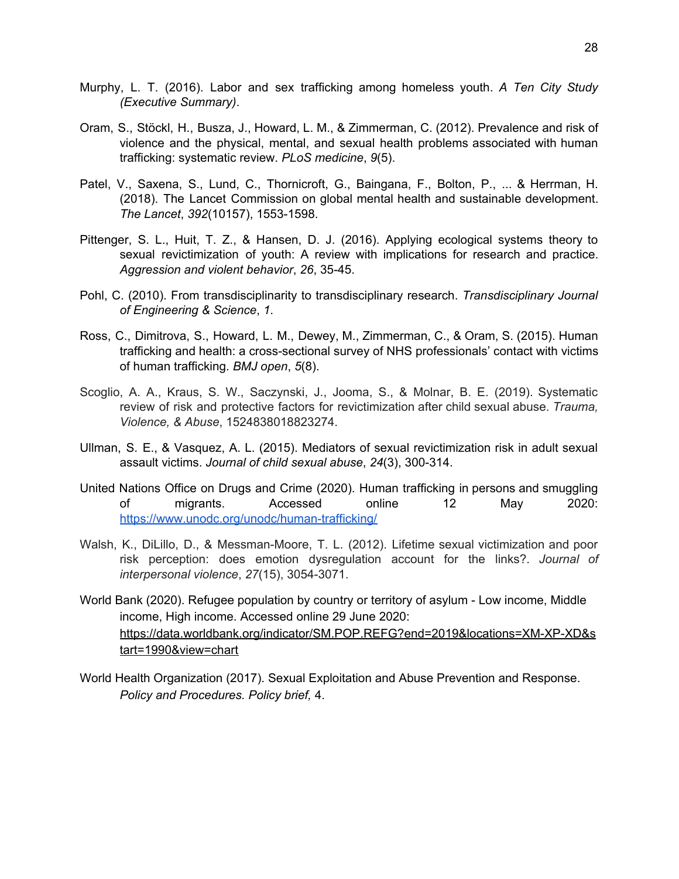- Murphy, L. T. (2016). Labor and sex trafficking among homeless youth. *A Ten City Study (Executive Summary)*.
- Oram, S., Stöckl, H., Busza, J., Howard, L. M., & Zimmerman, C. (2012). Prevalence and risk of violence and the physical, mental, and sexual health problems associated with human trafficking: systematic review. *PLoS medicine*, *9*(5).
- Patel, V., Saxena, S., Lund, C., Thornicroft, G., Baingana, F., Bolton, P., ... & Herrman, H. (2018). The Lancet Commission on global mental health and sustainable development. *The Lancet*, *392*(10157), 1553-1598.
- Pittenger, S. L., Huit, T. Z., & Hansen, D. J. (2016). Applying ecological systems theory to sexual revictimization of youth: A review with implications for research and practice. *Aggression and violent behavior*, *26*, 35-45.
- Pohl, C. (2010). From transdisciplinarity to transdisciplinary research. *Transdisciplinary Journal of Engineering & Science*, *1*.
- Ross, C., Dimitrova, S., Howard, L. M., Dewey, M., Zimmerman, C., & Oram, S. (2015). Human trafficking and health: a cross-sectional survey of NHS professionals' contact with victims of human trafficking. *BMJ open*, *5*(8).
- Scoglio, A. A., Kraus, S. W., Saczynski, J., Jooma, S., & Molnar, B. E. (2019). Systematic review of risk and protective factors for revictimization after child sexual abuse. *Trauma, Violence, & Abuse*, 1524838018823274.
- Ullman, S. E., & Vasquez, A. L. (2015). Mediators of sexual revictimization risk in adult sexual assault victims. *Journal of child sexual abuse*, *24*(3), 300-314.
- United Nations Office on Drugs and Crime (2020). Human trafficking in persons and smuggling of migrants. Accessed online 12 May 2020: <https://www.unodc.org/unodc/human-trafficking/>
- Walsh, K., DiLillo, D., & Messman-Moore, T. L. (2012). Lifetime sexual victimization and poor risk perception: does emotion dysregulation account for the links?. *Journal of interpersonal violence*, *27*(15), 3054-3071.
- World Bank (2020). Refugee population by country or territory of asylum Low income, Middle income, High income. Accessed online 29 June 2020: [https://data.worldbank.org/indicator/SM.POP.REFG?end=2019&locations=XM-XP-XD&s](https://data.worldbank.org/indicator/SM.POP.REFG?end=2019&locations=XM-XP-XD&start=1990&view=chart) [tart=1990&view=chart](https://data.worldbank.org/indicator/SM.POP.REFG?end=2019&locations=XM-XP-XD&start=1990&view=chart)
- World Health Organization (2017). Sexual Exploitation and Abuse Prevention and Response. *Policy and Procedures. Policy brief,* 4.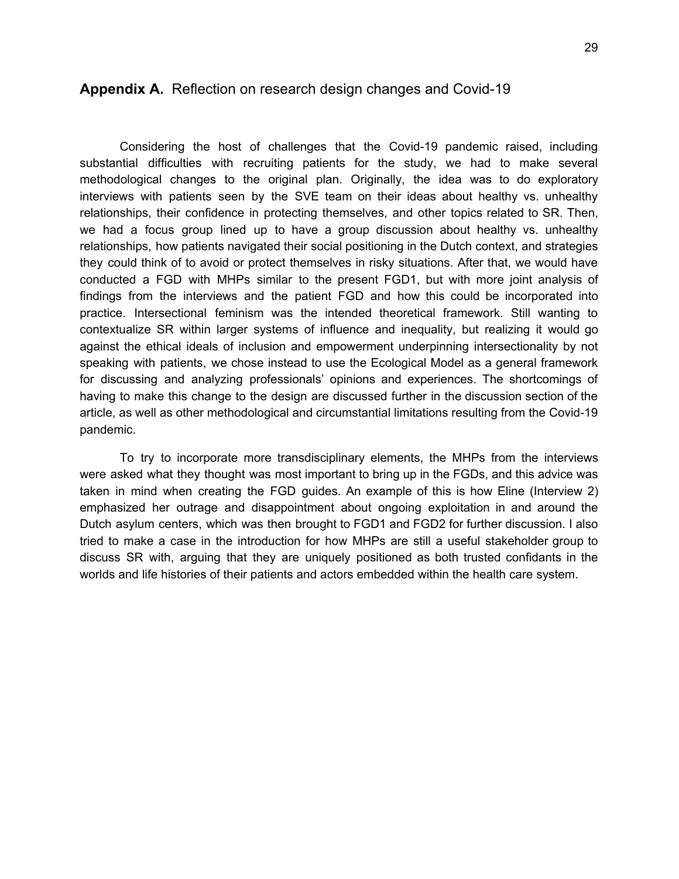## **Appendix A.** Reflection on research design changes and Covid-19

Considering the host of challenges that the Covid-19 pandemic raised, including substantial difficulties with recruiting patients for the study, we had to make several methodological changes to the original plan. Originally, the idea was to do exploratory interviews with patients seen by the SVE team on their ideas about healthy vs. unhealthy relationships, their confidence in protecting themselves, and other topics related to SR. Then, we had a focus group lined up to have a group discussion about healthy vs. unhealthy relationships, how patients navigated their social positioning in the Dutch context, and strategies they could think of to avoid or protect themselves in risky situations. After that, we would have conducted a FGD with MHPs similar to the present FGD1, but with more joint analysis of findings from the interviews and the patient FGD and how this could be incorporated into practice. Intersectional feminism was the intended theoretical framework. Still wanting to contextualize SR within larger systems of influence and inequality, but realizing it would go against the ethical ideals of inclusion and empowerment underpinning intersectionality by not speaking with patients, we chose instead to use the Ecological Model as a general framework for discussing and analyzing professionals' opinions and experiences. The shortcomings of having to make this change to the design are discussed further in the discussion section of the article, as well as other methodological and circumstantial limitations resulting from the Covid-19 pandemic.

To try to incorporate more transdisciplinary elements, the MHPs from the interviews were asked what they thought was most important to bring up in the FGDs, and this advice was taken in mind when creating the FGD guides. An example of this is how Eline (Interview 2) emphasized her outrage and disappointment about ongoing exploitation in and around the Dutch asylum centers, which was then brought to FGD1 and FGD2 for further discussion. I also tried to make a case in the introduction for how MHPs are still a useful stakeholder group to discuss SR with, arguing that they are uniquely positioned as both trusted confidants in the worlds and life histories of their patients and actors embedded within the health care system.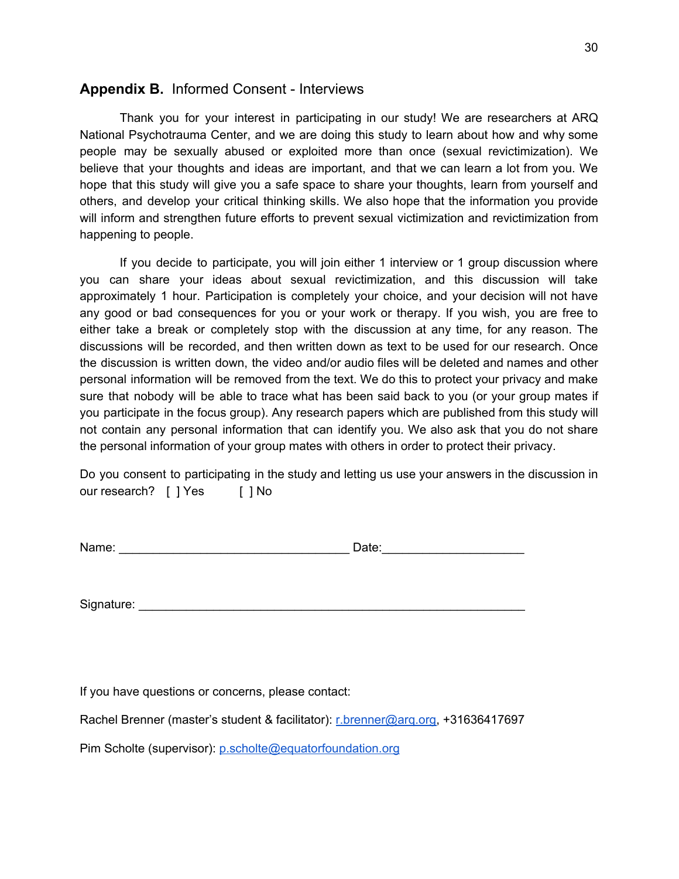# **Appendix B.** Informed Consent - Interviews

Thank you for your interest in participating in our study! We are researchers at ARQ National Psychotrauma Center, and we are doing this study to learn about how and why some people may be sexually abused or exploited more than once (sexual revictimization). We believe that your thoughts and ideas are important, and that we can learn a lot from you. We hope that this study will give you a safe space to share your thoughts, learn from yourself and others, and develop your critical thinking skills. We also hope that the information you provide will inform and strengthen future efforts to prevent sexual victimization and revictimization from happening to people.

If you decide to participate, you will join either 1 interview or 1 group discussion where you can share your ideas about sexual revictimization, and this discussion will take approximately 1 hour. Participation is completely your choice, and your decision will not have any good or bad consequences for you or your work or therapy. If you wish, you are free to either take a break or completely stop with the discussion at any time, for any reason. The discussions will be recorded, and then written down as text to be used for our research. Once the discussion is written down, the video and/or audio files will be deleted and names and other personal information will be removed from the text. We do this to protect your privacy and make sure that nobody will be able to trace what has been said back to you (or your group mates if you participate in the focus group). Any research papers which are published from this study will not contain any personal information that can identify you. We also ask that you do not share the personal information of your group mates with others in order to protect their privacy.

Do you consent to participating in the study and letting us use your answers in the discussion in our research? [ ] Yes [ ] No

| Name:<br>)ate: |
|----------------|
|----------------|

Signature: \_\_\_\_\_\_\_\_\_\_\_\_\_\_\_\_\_\_\_\_\_\_\_\_\_\_\_\_\_\_\_\_\_\_\_\_\_\_\_\_\_\_\_\_\_\_\_\_\_\_\_\_\_\_\_\_\_

If you have questions or concerns, please contact:

Rachel Brenner (master's student & facilitator): [r.brenner@arq.org,](mailto:r.brenner@arq.org) +31636417697

Pim Scholte (supervisor): [p.scholte@equatorfoundation.org](mailto:p.scholte@equatorfoundation.org)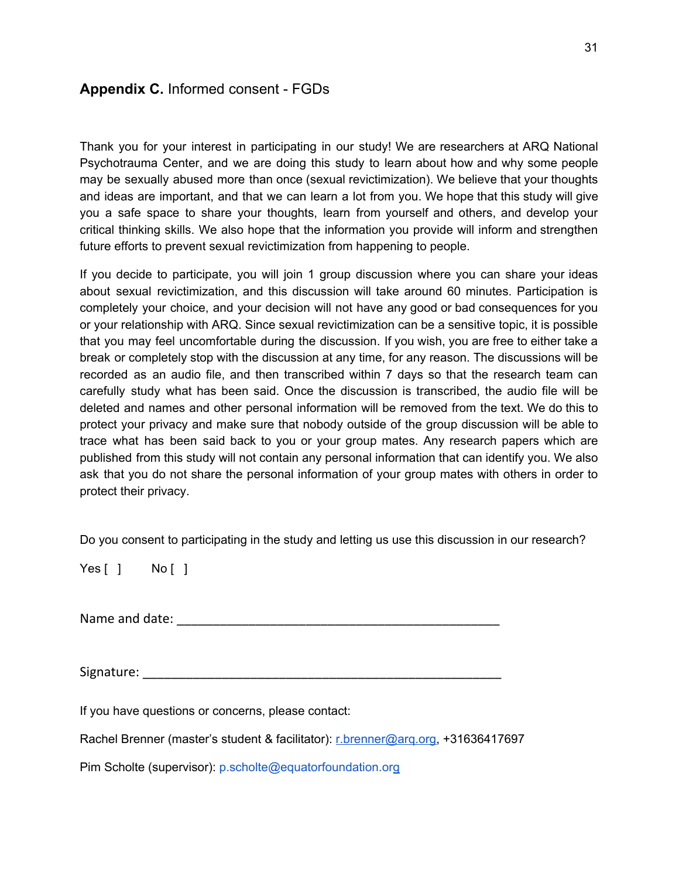# **Appendix C.** Informed consent - FGDs

Thank you for your interest in participating in our study! We are researchers at ARQ National Psychotrauma Center, and we are doing this study to learn about how and why some people may be sexually abused more than once (sexual revictimization). We believe that your thoughts and ideas are important, and that we can learn a lot from you. We hope that this study will give you a safe space to share your thoughts, learn from yourself and others, and develop your critical thinking skills. We also hope that the information you provide will inform and strengthen future efforts to prevent sexual revictimization from happening to people.

If you decide to participate, you will join 1 group discussion where you can share your ideas about sexual revictimization, and this discussion will take around 60 minutes. Participation is completely your choice, and your decision will not have any good or bad consequences for you or your relationship with ARQ. Since sexual revictimization can be a sensitive topic, it is possible that you may feel uncomfortable during the discussion. If you wish, you are free to either take a break or completely stop with the discussion at any time, for any reason. The discussions will be recorded as an audio file, and then transcribed within 7 days so that the research team can carefully study what has been said. Once the discussion is transcribed, the audio file will be deleted and names and other personal information will be removed from the text. We do this to protect your privacy and make sure that nobody outside of the group discussion will be able to trace what has been said back to you or your group mates. Any research papers which are published from this study will not contain any personal information that can identify you. We also ask that you do not share the personal information of your group mates with others in order to protect their privacy.

Do you consent to participating in the study and letting us use this discussion in our research?

Yes [ ] No [ ]

Name and date:  $\blacksquare$ 

Signature: \_\_\_\_\_\_\_\_\_\_\_\_\_\_\_\_\_\_\_\_\_\_\_\_\_\_\_\_\_\_\_\_\_\_\_\_\_\_\_\_\_\_\_\_\_\_\_\_\_\_

If you have questions or concerns, please contact:

Rachel Brenner (master's student & facilitator): r.brenner@arq.org, +31636417697

Pim Scholte (supervisor): p.scholte@equatorfoundation.org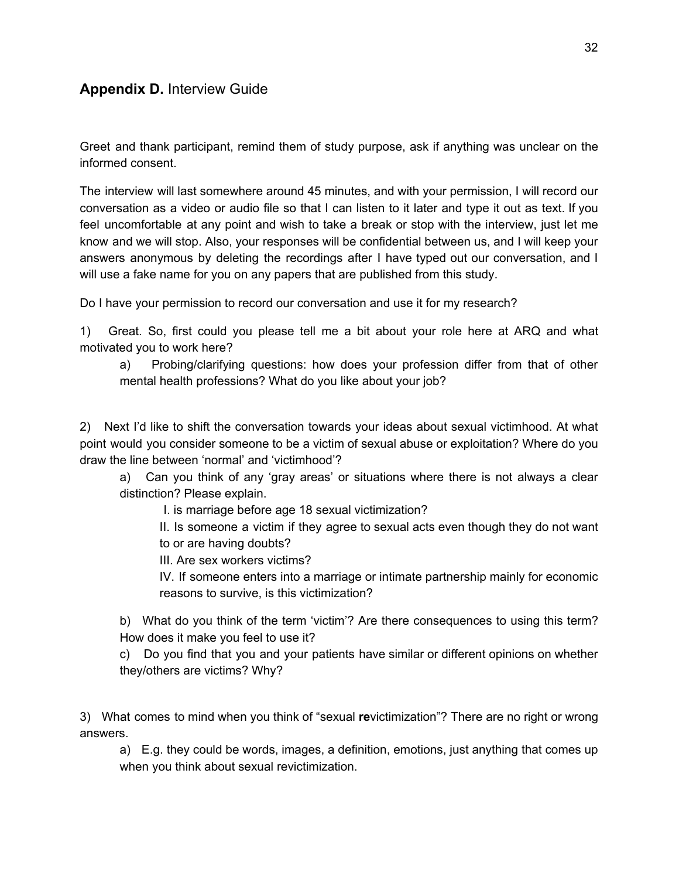# **Appendix D.** Interview Guide

Greet and thank participant, remind them of study purpose, ask if anything was unclear on the informed consent.

The interview will last somewhere around 45 minutes, and with your permission, I will record our conversation as a video or audio file so that I can listen to it later and type it out as text. If you feel uncomfortable at any point and wish to take a break or stop with the interview, just let me know and we will stop. Also, your responses will be confidential between us, and I will keep your answers anonymous by deleting the recordings after I have typed out our conversation, and I will use a fake name for you on any papers that are published from this study.

Do I have your permission to record our conversation and use it for my research?

1) Great. So, first could you please tell me a bit about your role here at ARQ and what motivated you to work here?

a) Probing/clarifying questions: how does your profession differ from that of other mental health professions? What do you like about your job?

2) Next I'd like to shift the conversation towards your ideas about sexual victimhood. At what point would you consider someone to be a victim of sexual abuse or exploitation? Where do you draw the line between 'normal' and 'victimhood'?

a) Can you think of any 'gray areas' or situations where there is not always a clear distinction? Please explain.

I. is marriage before age 18 sexual victimization?

II. Is someone a victim if they agree to sexual acts even though they do not want to or are having doubts?

III. Are sex workers victims?

IV. If someone enters into a marriage or intimate partnership mainly for economic reasons to survive, is this victimization?

b) What do you think of the term 'victim'? Are there consequences to using this term? How does it make you feel to use it?

c) Do you find that you and your patients have similar or different opinions on whether they/others are victims? Why?

3) What comes to mind when you think of "sexual **re**victimization"? There are no right or wrong answers.

a) E.g. they could be words, images, a definition, emotions, just anything that comes up when you think about sexual revictimization.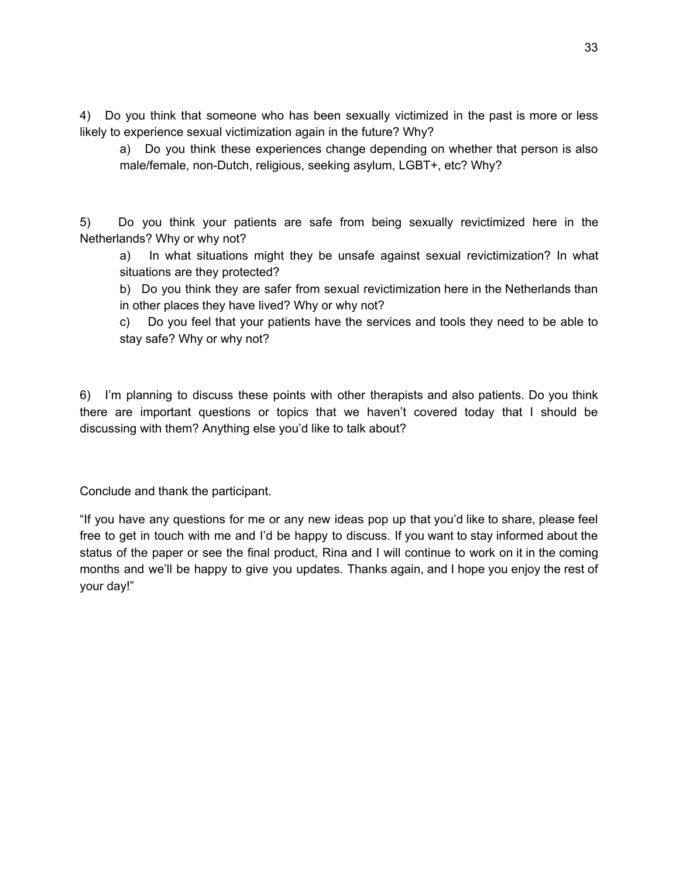4) Do you think that someone who has been sexually victimized in the past is more or less likely to experience sexual victimization again in the future? Why?

a) Do you think these experiences change depending on whether that person is also male/female, non-Dutch, religious, seeking asylum, LGBT+, etc? Why?

5) Do you think your patients are safe from being sexually revictimized here in the Netherlands? Why or why not?

a) In what situations might they be unsafe against sexual revictimization? In what situations are they protected?

b) Do you think they are safer from sexual revictimization here in the Netherlands than in other places they have lived? Why or why not?

c) Do you feel that your patients have the services and tools they need to be able to stay safe? Why or why not?

6) I'm planning to discuss these points with other therapists and also patients. Do you think there are important questions or topics that we haven't covered today that I should be discussing with them? Anything else you'd like to talk about?

Conclude and thank the participant.

"If you have any questions for me or any new ideas pop up that you'd like to share, please feel free to get in touch with me and I'd be happy to discuss. If you want to stay informed about the status of the paper or see the final product, Rina and I will continue to work on it in the coming months and we'll be happy to give you updates. Thanks again, and I hope you enjoy the rest of your day!"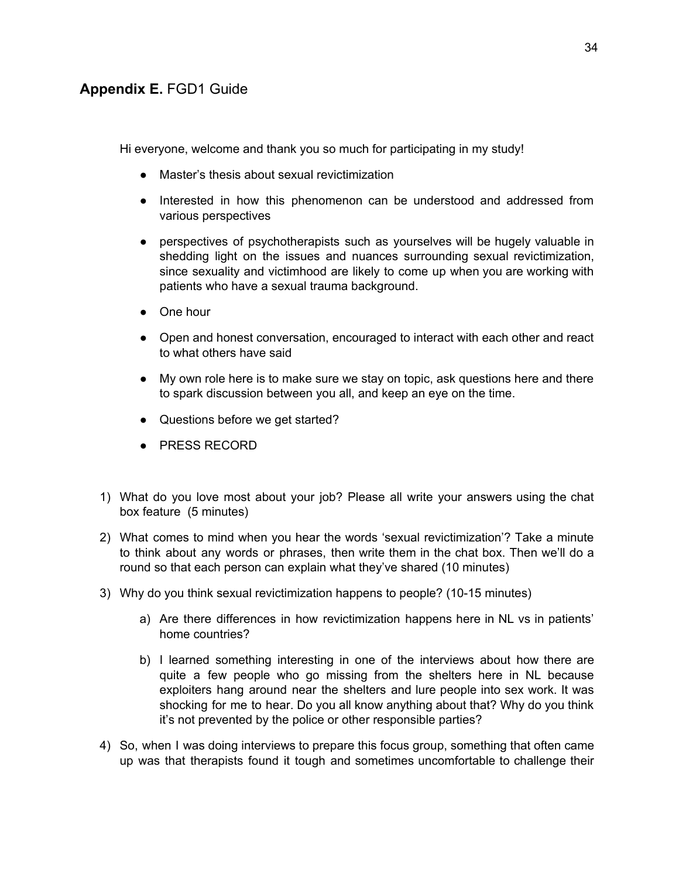# **Appendix E.** FGD1 Guide

Hi everyone, welcome and thank you so much for participating in my study!

- Master's thesis about sexual revictimization
- Interested in how this phenomenon can be understood and addressed from various perspectives
- perspectives of psychotherapists such as yourselves will be hugely valuable in shedding light on the issues and nuances surrounding sexual revictimization, since sexuality and victimhood are likely to come up when you are working with patients who have a sexual trauma background.
- One hour
- Open and honest conversation, encouraged to interact with each other and react to what others have said
- My own role here is to make sure we stay on topic, ask questions here and there to spark discussion between you all, and keep an eye on the time.
- Questions before we get started?
- PRESS RECORD
- 1) What do you love most about your job? Please all write your answers using the chat box feature (5 minutes)
- 2) What comes to mind when you hear the words 'sexual revictimization'? Take a minute to think about any words or phrases, then write them in the chat box. Then we'll do a round so that each person can explain what they've shared (10 minutes)
- 3) Why do you think sexual revictimization happens to people? (10-15 minutes)
	- a) Are there differences in how revictimization happens here in NL vs in patients' home countries?
	- b) I learned something interesting in one of the interviews about how there are quite a few people who go missing from the shelters here in NL because exploiters hang around near the shelters and lure people into sex work. It was shocking for me to hear. Do you all know anything about that? Why do you think it's not prevented by the police or other responsible parties?
- 4) So, when I was doing interviews to prepare this focus group, something that often came up was that therapists found it tough and sometimes uncomfortable to challenge their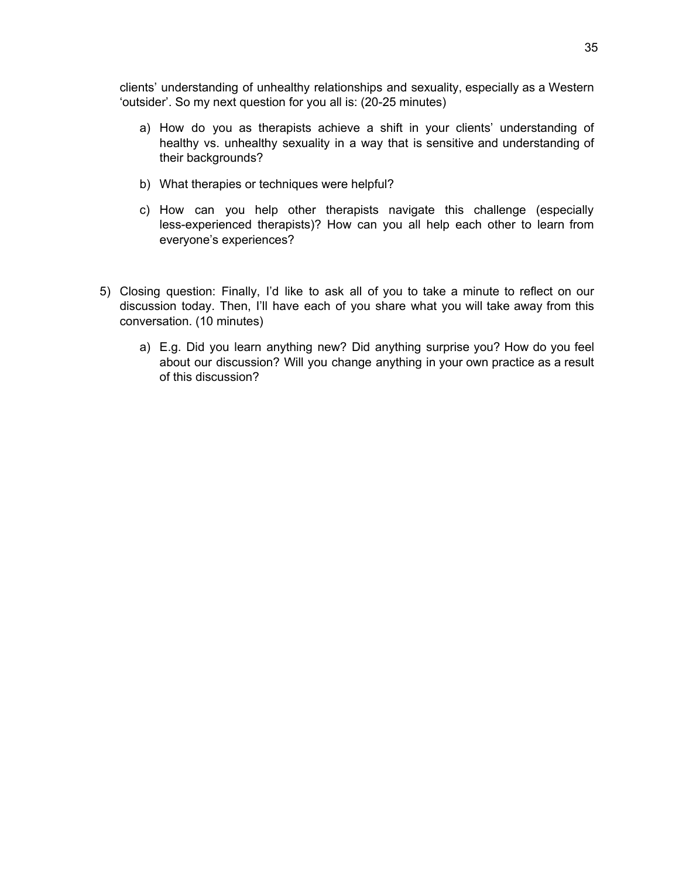clients' understanding of unhealthy relationships and sexuality, especially as a Western 'outsider'. So my next question for you all is: (20-25 minutes)

- a) How do you as therapists achieve a shift in your clients' understanding of healthy vs. unhealthy sexuality in a way that is sensitive and understanding of their backgrounds?
- b) What therapies or techniques were helpful?
- c) How can you help other therapists navigate this challenge (especially less-experienced therapists)? How can you all help each other to learn from everyone's experiences?
- 5) Closing question: Finally, I'd like to ask all of you to take a minute to reflect on our discussion today. Then, I'll have each of you share what you will take away from this conversation. (10 minutes)
	- a) E.g. Did you learn anything new? Did anything surprise you? How do you feel about our discussion? Will you change anything in your own practice as a result of this discussion?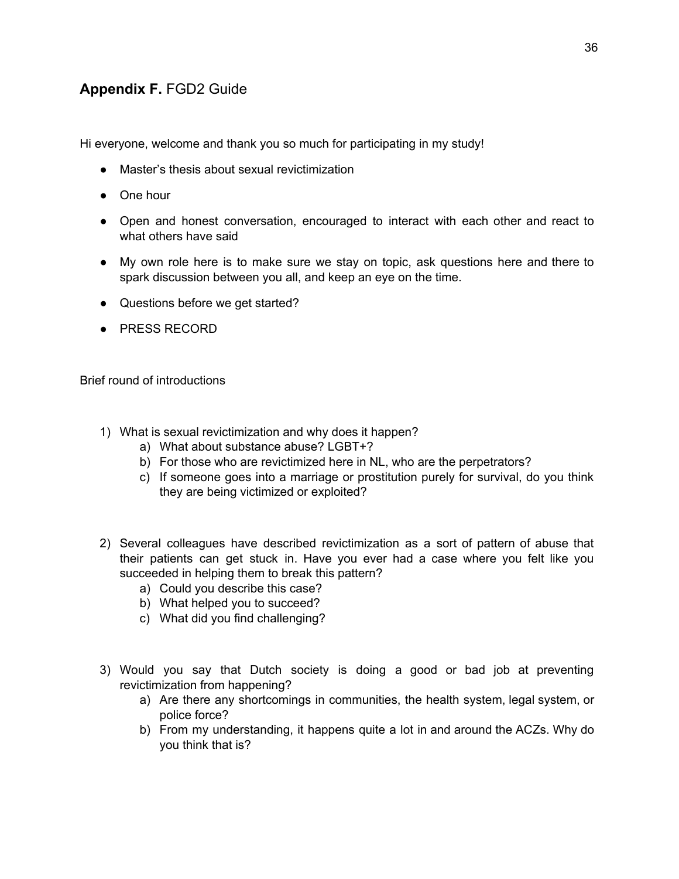# **Appendix F.** FGD2 Guide

Hi everyone, welcome and thank you so much for participating in my study!

- Master's thesis about sexual revictimization
- One hour
- Open and honest conversation, encouraged to interact with each other and react to what others have said
- My own role here is to make sure we stay on topic, ask questions here and there to spark discussion between you all, and keep an eye on the time.
- Questions before we get started?
- PRESS RECORD

Brief round of introductions

- 1) What is sexual revictimization and why does it happen?
	- a) What about substance abuse? LGBT+?
	- b) For those who are revictimized here in NL, who are the perpetrators?
	- c) If someone goes into a marriage or prostitution purely for survival, do you think they are being victimized or exploited?
- 2) Several colleagues have described revictimization as a sort of pattern of abuse that their patients can get stuck in. Have you ever had a case where you felt like you succeeded in helping them to break this pattern?
	- a) Could you describe this case?
	- b) What helped you to succeed?
	- c) What did you find challenging?
- 3) Would you say that Dutch society is doing a good or bad job at preventing revictimization from happening?
	- a) Are there any shortcomings in communities, the health system, legal system, or police force?
	- b) From my understanding, it happens quite a lot in and around the ACZs. Why do you think that is?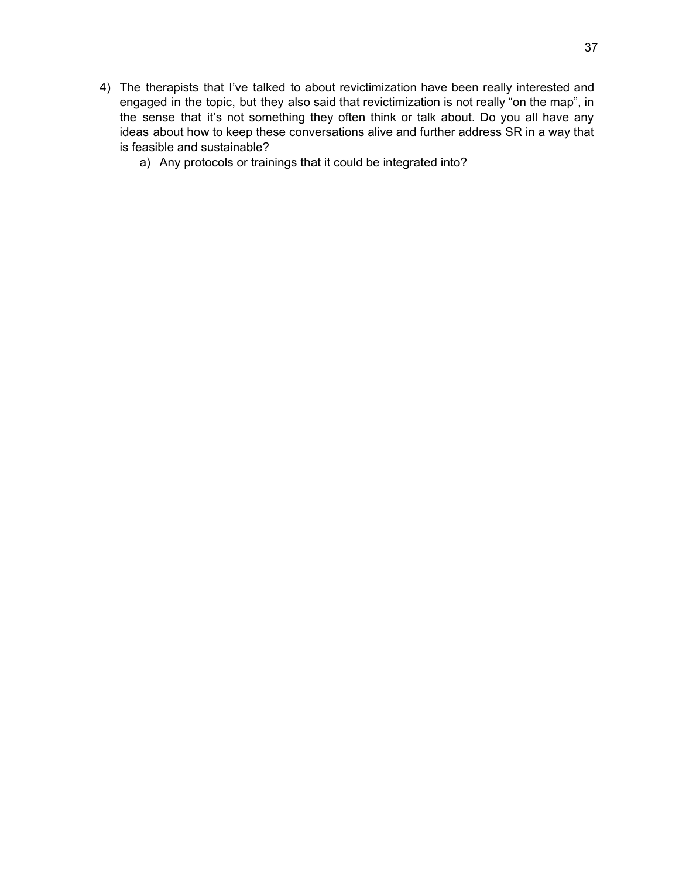- 4) The therapists that I've talked to about revictimization have been really interested and engaged in the topic, but they also said that revictimization is not really "on the map", in the sense that it's not something they often think or talk about. Do you all have any ideas about how to keep these conversations alive and further address SR in a way that is feasible and sustainable?
	- a) Any protocols or trainings that it could be integrated into?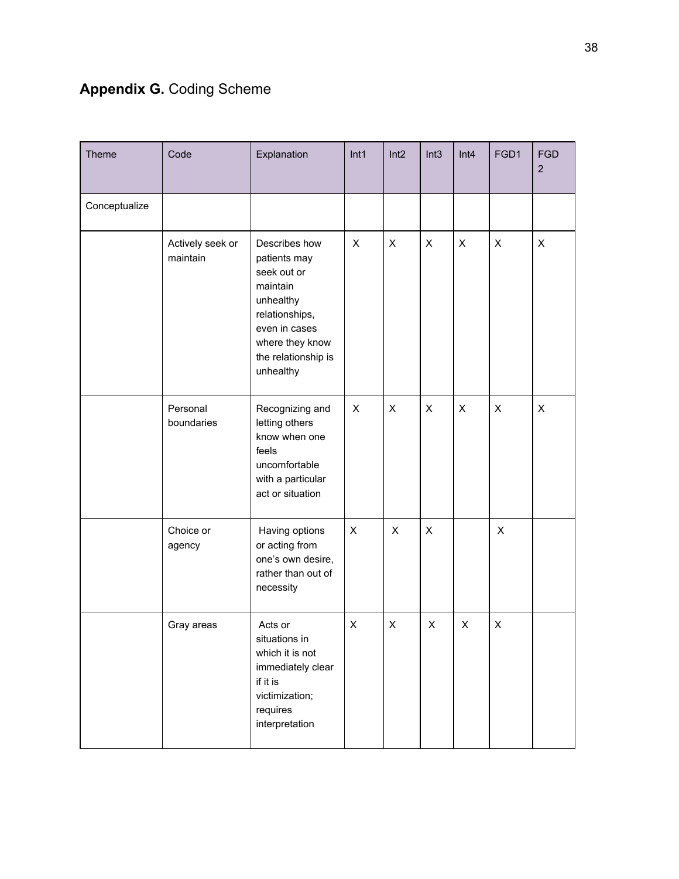# **Appendix G.** Coding Scheme

| Theme         | Code                         | Explanation                                                                                                                                                     | Int1           | Int2           | Int3           | Int4           | FGD1           | <b>FGD</b><br>$\overline{2}$ |
|---------------|------------------------------|-----------------------------------------------------------------------------------------------------------------------------------------------------------------|----------------|----------------|----------------|----------------|----------------|------------------------------|
| Conceptualize |                              |                                                                                                                                                                 |                |                |                |                |                |                              |
|               | Actively seek or<br>maintain | Describes how<br>patients may<br>seek out or<br>maintain<br>unhealthy<br>relationships,<br>even in cases<br>where they know<br>the relationship is<br>unhealthy | $\pmb{\times}$ | $\pmb{\times}$ | $\pmb{\times}$ | $\pmb{\times}$ | $\pmb{\times}$ | $\pmb{\times}$               |
|               | Personal<br>boundaries       | Recognizing and<br>letting others<br>know when one<br>feels<br>uncomfortable<br>with a particular<br>act or situation                                           | X              | $\pmb{\times}$ | X              | $\pmb{\times}$ | $\pmb{\times}$ | $\pmb{\times}$               |
|               | Choice or<br>agency          | Having options<br>or acting from<br>one's own desire,<br>rather than out of<br>necessity                                                                        | X              | X              | $\pmb{\times}$ |                | X              |                              |
|               | Gray areas                   | Acts or<br>situations in<br>which it is not<br>immediately clear<br>if it is<br>victimization;<br>requires<br>interpretation                                    | X              | X              | X              | X              | X              |                              |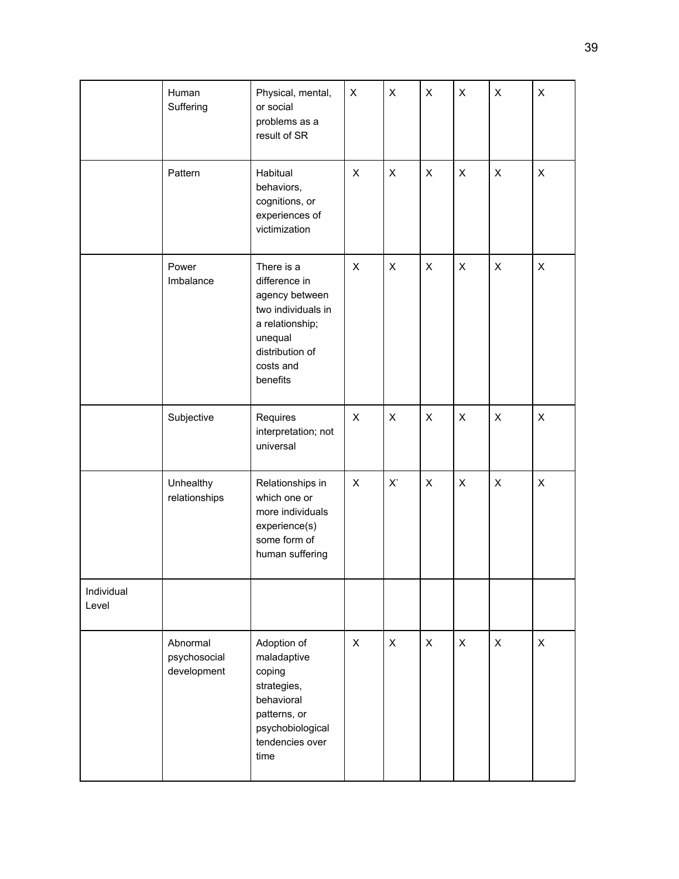|                     | Human<br>Suffering                      | Physical, mental,<br>or social<br>problems as a<br>result of SR                                                                               | X | X | X | X              | X            | X            |
|---------------------|-----------------------------------------|-----------------------------------------------------------------------------------------------------------------------------------------------|---|---|---|----------------|--------------|--------------|
|                     | Pattern                                 | Habitual<br>behaviors,<br>cognitions, or<br>experiences of<br>victimization                                                                   | X | X | X | X              | $\mathsf{X}$ | $\mathsf{X}$ |
|                     | Power<br>Imbalance                      | There is a<br>difference in<br>agency between<br>two individuals in<br>a relationship;<br>unequal<br>distribution of<br>costs and<br>benefits | X | X | X | X              | X            | X            |
|                     | Subjective                              | Requires<br>interpretation; not<br>universal                                                                                                  | X | X | X | $\pmb{\times}$ | X            | X            |
|                     | Unhealthy<br>relationships              | Relationships in<br>which one or<br>more individuals<br>experience(s)<br>some form of<br>human suffering                                      | X | X | X | X              | X            | X            |
| Individual<br>Level |                                         |                                                                                                                                               |   |   |   |                |              |              |
|                     | Abnormal<br>psychosocial<br>development | Adoption of<br>maladaptive<br>coping<br>strategies,<br>behavioral<br>patterns, or<br>psychobiological<br>tendencies over<br>time              | X | X | X | $\pmb{\times}$ | $\mathsf{X}$ | $\mathsf{X}$ |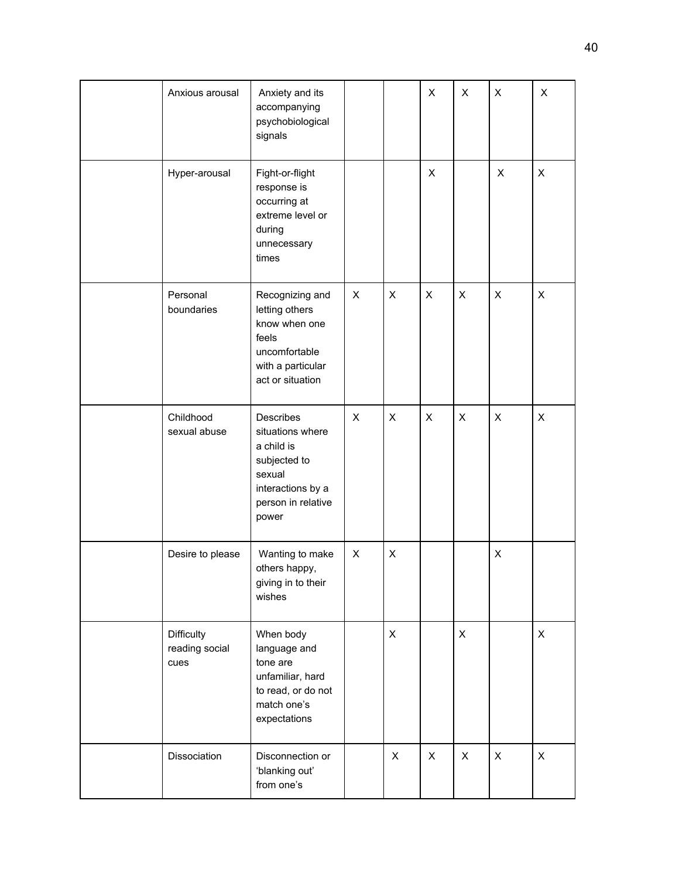| Anxious arousal                      | Anxiety and its<br>accompanying<br>psychobiological<br>signals                                                            |   |   | X | X              | X              | X              |
|--------------------------------------|---------------------------------------------------------------------------------------------------------------------------|---|---|---|----------------|----------------|----------------|
| Hyper-arousal                        | Fight-or-flight<br>response is<br>occurring at<br>extreme level or<br>during<br>unnecessary<br>times                      |   |   | X |                | X              | X              |
| Personal<br>boundaries               | Recognizing and<br>letting others<br>know when one<br>feels<br>uncomfortable<br>with a particular<br>act or situation     | X | X | X | X              | X              | X              |
| Childhood<br>sexual abuse            | Describes<br>situations where<br>a child is<br>subjected to<br>sexual<br>interactions by a<br>person in relative<br>power | X | X | X | $\pmb{\times}$ | $\pmb{\times}$ | X              |
| Desire to please                     | Wanting to make<br>others happy,<br>giving in to their<br>wishes                                                          | X | X |   |                | X              |                |
| Difficulty<br>reading social<br>cues | When body<br>language and<br>tone are<br>unfamiliar, hard<br>to read, or do not<br>match one's<br>expectations            |   | X |   | X              |                | X              |
| Dissociation                         | Disconnection or<br>'blanking out'<br>from one's                                                                          |   | X | X | X              | $\pmb{\times}$ | $\pmb{\times}$ |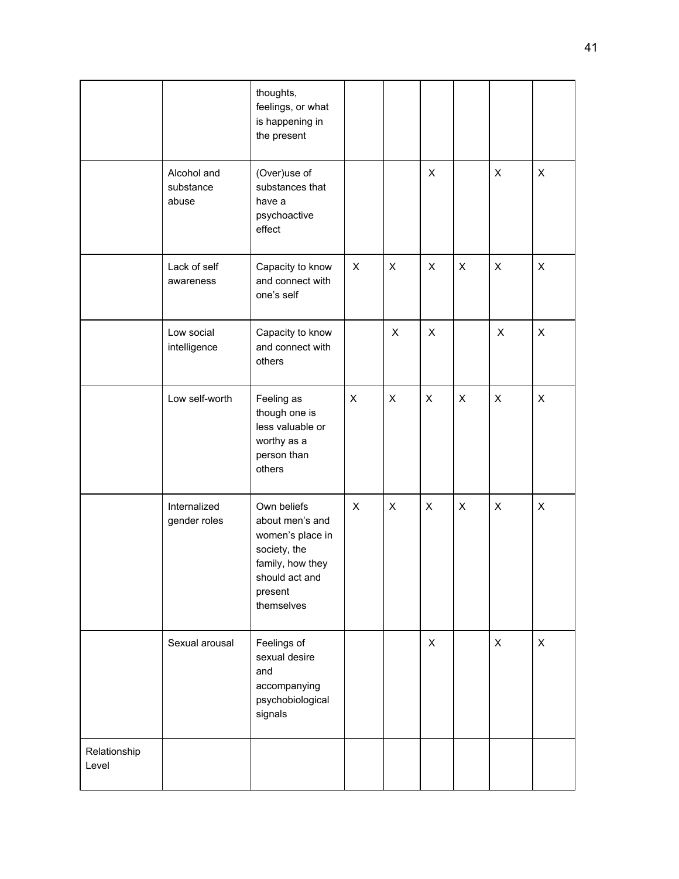|                       |                                   | thoughts,<br>feelings, or what<br>is happening in<br>the present                                                                  |   |                |              |   |                |                           |
|-----------------------|-----------------------------------|-----------------------------------------------------------------------------------------------------------------------------------|---|----------------|--------------|---|----------------|---------------------------|
|                       | Alcohol and<br>substance<br>abuse | (Over)use of<br>substances that<br>have a<br>psychoactive<br>effect                                                               |   |                | X            |   | X              | $\boldsymbol{\mathsf{X}}$ |
|                       | Lack of self<br>awareness         | Capacity to know<br>and connect with<br>one's self                                                                                | X | X              | X            | X | X              | X                         |
|                       | Low social<br>intelligence        | Capacity to know<br>and connect with<br>others                                                                                    |   | $\pmb{\times}$ | X            |   | X              | $\boldsymbol{\mathsf{X}}$ |
|                       | Low self-worth                    | Feeling as<br>though one is<br>less valuable or<br>worthy as a<br>person than<br>others                                           | X | X              | X            | X | $\pmb{\times}$ | X                         |
|                       | Internalized<br>gender roles      | Own beliefs<br>about men's and<br>women's place in<br>society, the<br>family, how they<br>should act and<br>present<br>themselves | X | $\pmb{\times}$ | X            | X | X              | X                         |
|                       | Sexual arousal                    | Feelings of<br>sexual desire<br>and<br>accompanying<br>psychobiological<br>signals                                                |   |                | $\mathsf{X}$ |   | $\mathsf{X}$   | $\mathsf{X}$              |
| Relationship<br>Level |                                   |                                                                                                                                   |   |                |              |   |                |                           |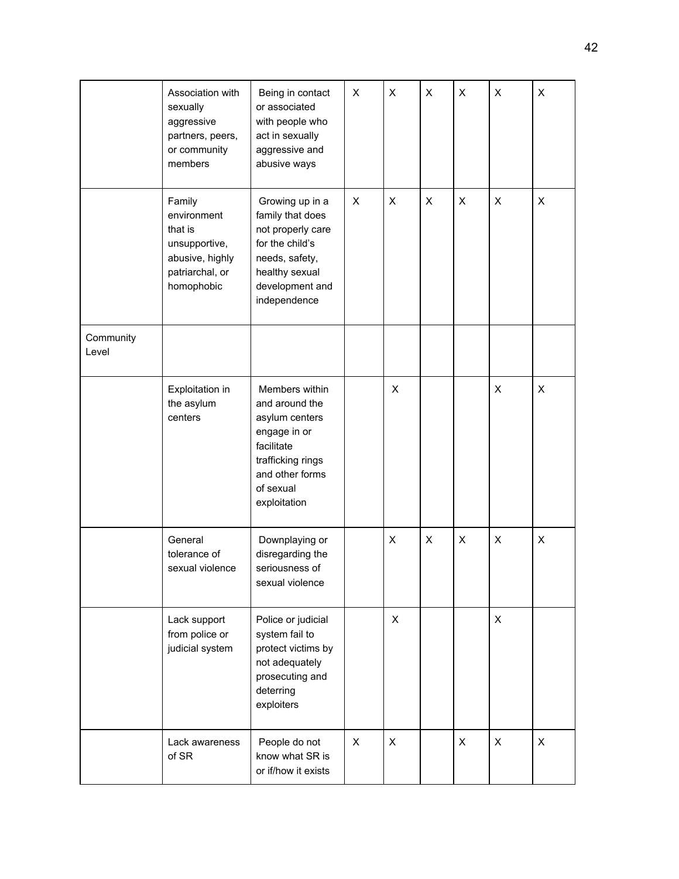|                    | Association with<br>sexually<br>aggressive<br>partners, peers,<br>or community<br>members             | Being in contact<br>or associated<br>with people who<br>act in sexually<br>aggressive and<br>abusive ways                                             | X | X | X | X | X | X |
|--------------------|-------------------------------------------------------------------------------------------------------|-------------------------------------------------------------------------------------------------------------------------------------------------------|---|---|---|---|---|---|
|                    | Family<br>environment<br>that is<br>unsupportive,<br>abusive, highly<br>patriarchal, or<br>homophobic | Growing up in a<br>family that does<br>not properly care<br>for the child's<br>needs, safety,<br>healthy sexual<br>development and<br>independence    | X | X | X | X | X | X |
| Community<br>Level |                                                                                                       |                                                                                                                                                       |   |   |   |   |   |   |
|                    | Exploitation in<br>the asylum<br>centers                                                              | Members within<br>and around the<br>asylum centers<br>engage in or<br>facilitate<br>trafficking rings<br>and other forms<br>of sexual<br>exploitation |   | X |   |   | X | X |
|                    | General<br>tolerance of<br>sexual violence                                                            | Downplaying or<br>disregarding the<br>seriousness of<br>sexual violence                                                                               |   | X | X | X | X | X |
|                    | Lack support<br>from police or<br>judicial system                                                     | Police or judicial<br>system fail to<br>protect victims by<br>not adequately<br>prosecuting and<br>deterring<br>exploiters                            |   | X |   |   | X |   |
|                    | Lack awareness<br>of SR                                                                               | People do not<br>know what SR is<br>or if/how it exists                                                                                               | X | X |   | X | X | X |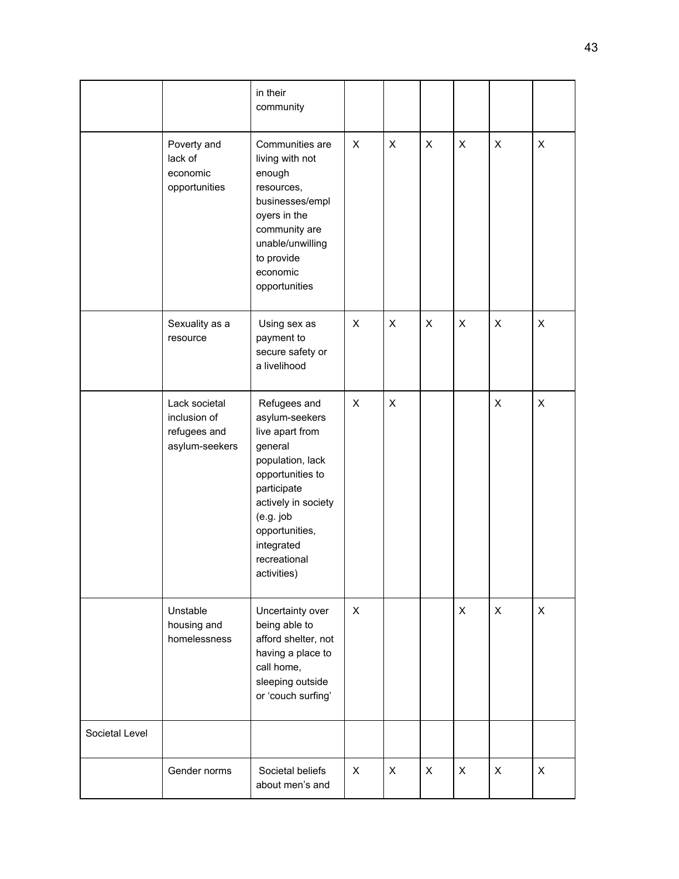|                |                                                                 | in their<br>community                                                                                                                                                                                                  |              |   |   |                           |                           |                           |
|----------------|-----------------------------------------------------------------|------------------------------------------------------------------------------------------------------------------------------------------------------------------------------------------------------------------------|--------------|---|---|---------------------------|---------------------------|---------------------------|
|                | Poverty and<br>lack of<br>economic<br>opportunities             | Communities are<br>living with not<br>enough<br>resources,<br>businesses/empl<br>oyers in the<br>community are<br>unable/unwilling<br>to provide<br>economic<br>opportunities                                          | X            | X | X | $\mathsf X$               | X                         | $\pmb{\times}$            |
|                | Sexuality as a<br>resource                                      | Using sex as<br>payment to<br>secure safety or<br>a livelihood                                                                                                                                                         | X            | X | X | X                         | $\boldsymbol{\mathsf{X}}$ | $\boldsymbol{\mathsf{X}}$ |
|                | Lack societal<br>inclusion of<br>refugees and<br>asylum-seekers | Refugees and<br>asylum-seekers<br>live apart from<br>general<br>population, lack<br>opportunities to<br>participate<br>actively in society<br>(e.g. job<br>opportunities,<br>integrated<br>recreational<br>activities) | X            | X |   |                           | $\pmb{\times}$            | $\pmb{\times}$            |
|                | Unstable<br>housing and<br>homelessness                         | Uncertainty over<br>being able to<br>afford shelter, not<br>having a place to<br>call home,<br>sleeping outside<br>or 'couch surfing'                                                                                  | $\mathsf{X}$ |   |   | $\boldsymbol{\mathsf{X}}$ | $\boldsymbol{\mathsf{X}}$ | $\pmb{\times}$            |
| Societal Level |                                                                 |                                                                                                                                                                                                                        |              |   |   |                           |                           |                           |
|                | Gender norms                                                    | Societal beliefs<br>about men's and                                                                                                                                                                                    | X            | X | X | $\boldsymbol{\mathsf{X}}$ | $\pmb{\times}$            | X                         |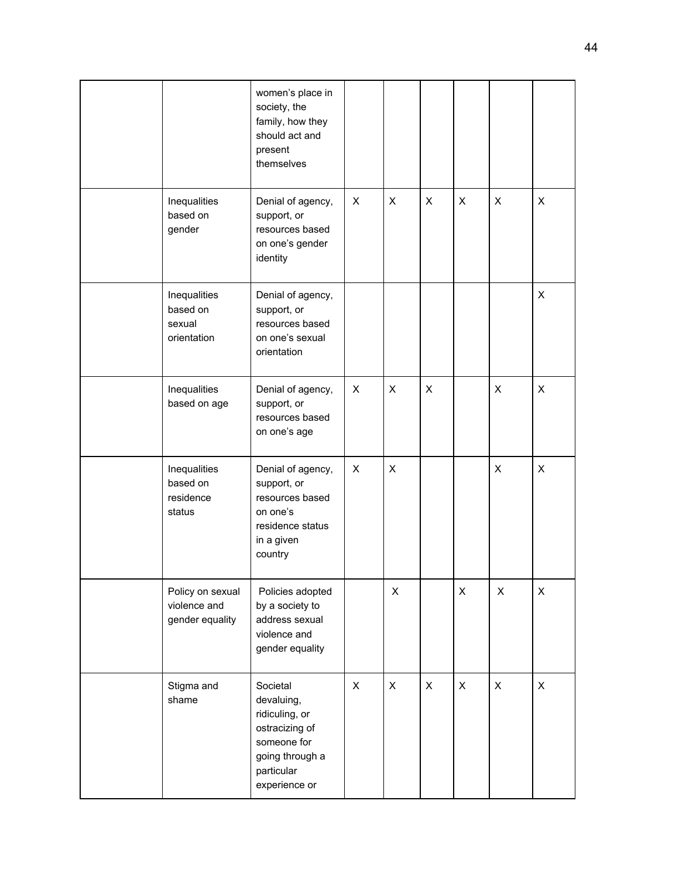|                                                     | women's place in<br>society, the<br>family, how they<br>should act and<br>present<br>themselves                             |   |   |                |   |   |   |
|-----------------------------------------------------|-----------------------------------------------------------------------------------------------------------------------------|---|---|----------------|---|---|---|
| Inequalities<br>based on<br>gender                  | Denial of agency,<br>support, or<br>resources based<br>on one's gender<br>identity                                          | X | X | X              | X | X | X |
| Inequalities<br>based on<br>sexual<br>orientation   | Denial of agency,<br>support, or<br>resources based<br>on one's sexual<br>orientation                                       |   |   |                |   |   | X |
| Inequalities<br>based on age                        | Denial of agency,<br>support, or<br>resources based<br>on one's age                                                         | X | X | $\pmb{\times}$ |   | X | X |
| Inequalities<br>based on<br>residence<br>status     | Denial of agency,<br>support, or<br>resources based<br>on one's<br>residence status<br>in a given<br>country                | X | X |                |   | X | X |
| Policy on sexual<br>violence and<br>gender equality | Policies adopted<br>by a society to<br>address sexual<br>violence and<br>gender equality                                    |   | X |                | X | X | X |
| Stigma and<br>shame                                 | Societal<br>devaluing,<br>ridiculing, or<br>ostracizing of<br>someone for<br>going through a<br>particular<br>experience or | X | X | $\pmb{\times}$ | X | X | X |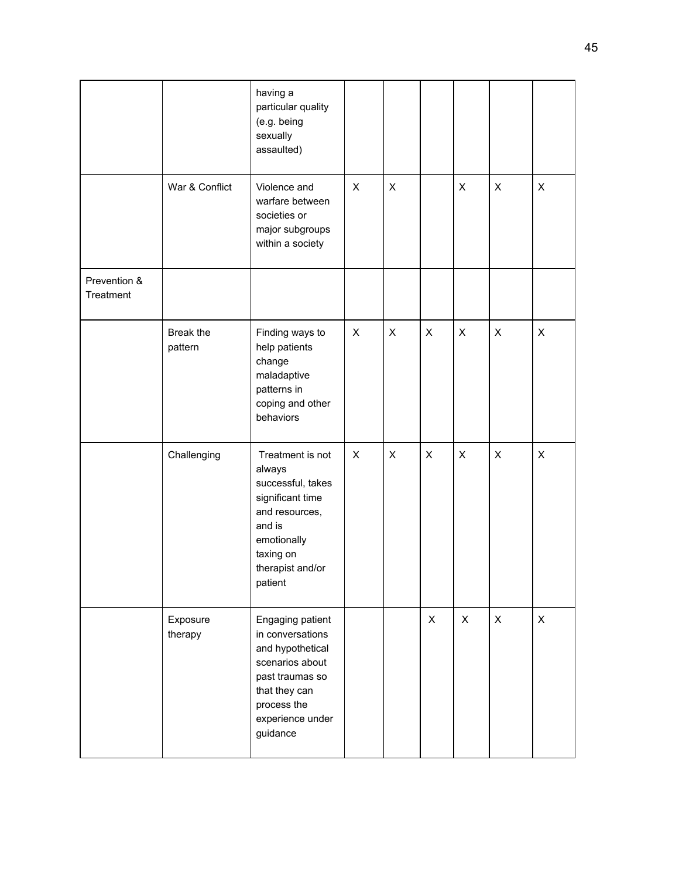|                           |                      | having a<br>particular quality<br>(e.g. being<br>sexually<br>assaulted)                                                                                        |   |   |                |   |              |                           |
|---------------------------|----------------------|----------------------------------------------------------------------------------------------------------------------------------------------------------------|---|---|----------------|---|--------------|---------------------------|
|                           | War & Conflict       | Violence and<br>warfare between<br>societies or<br>major subgroups<br>within a society                                                                         | X | X |                | X | X            | X                         |
| Prevention &<br>Treatment |                      |                                                                                                                                                                |   |   |                |   |              |                           |
|                           | Break the<br>pattern | Finding ways to<br>help patients<br>change<br>maladaptive<br>patterns in<br>coping and other<br>behaviors                                                      | X | X | X              | X | X            | $\boldsymbol{\mathsf{X}}$ |
|                           | Challenging          | Treatment is not<br>always<br>successful, takes<br>significant time<br>and resources,<br>and is<br>emotionally<br>taxing on<br>therapist and/or<br>patient     | X | X | X              | X | X            | X                         |
|                           | Exposure<br>therapy  | Engaging patient<br>in conversations<br>and hypothetical<br>scenarios about<br>past traumas so<br>that they can<br>process the<br>experience under<br>guidance |   |   | $\pmb{\times}$ | X | $\mathsf{X}$ | $\mathsf{X}$              |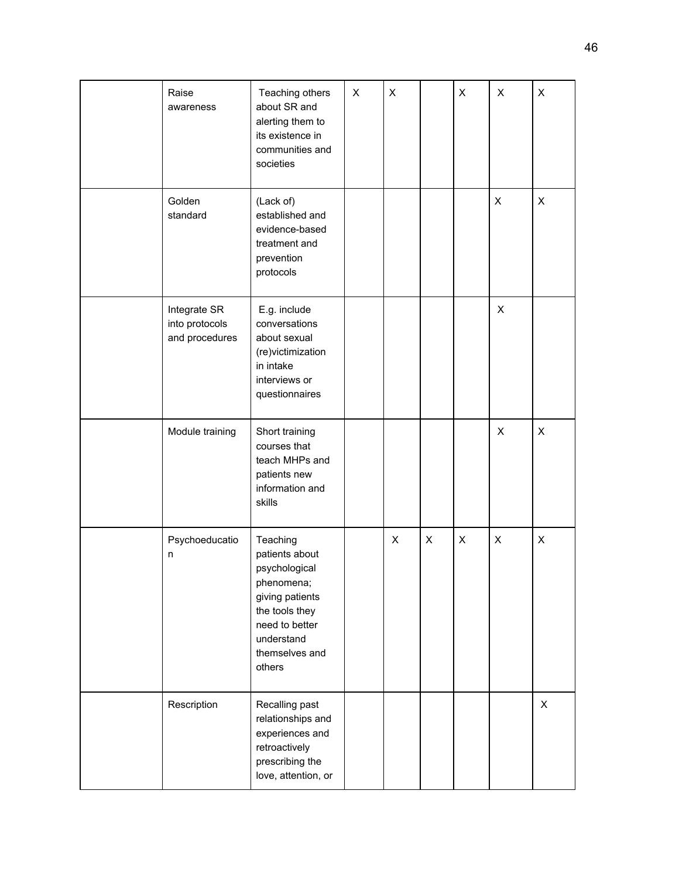| Raise<br>awareness                               | Teaching others<br>about SR and<br>alerting them to<br>its existence in<br>communities and<br>societies                                                    | X | X |   | X | X | X |
|--------------------------------------------------|------------------------------------------------------------------------------------------------------------------------------------------------------------|---|---|---|---|---|---|
| Golden<br>standard                               | (Lack of)<br>established and<br>evidence-based<br>treatment and<br>prevention<br>protocols                                                                 |   |   |   |   | X | X |
| Integrate SR<br>into protocols<br>and procedures | E.g. include<br>conversations<br>about sexual<br>(re)victimization<br>in intake<br>interviews or<br>questionnaires                                         |   |   |   |   | X |   |
| Module training                                  | Short training<br>courses that<br>teach MHPs and<br>patients new<br>information and<br>skills                                                              |   |   |   |   | X | X |
| Psychoeducatio<br>n                              | Teaching<br>patients about<br>psychological<br>phenomena;<br>giving patients<br>the tools they<br>need to better<br>understand<br>themselves and<br>others |   | X | X | X | X | X |
| Rescription                                      | Recalling past<br>relationships and<br>experiences and<br>retroactively<br>prescribing the<br>love, attention, or                                          |   |   |   |   |   | X |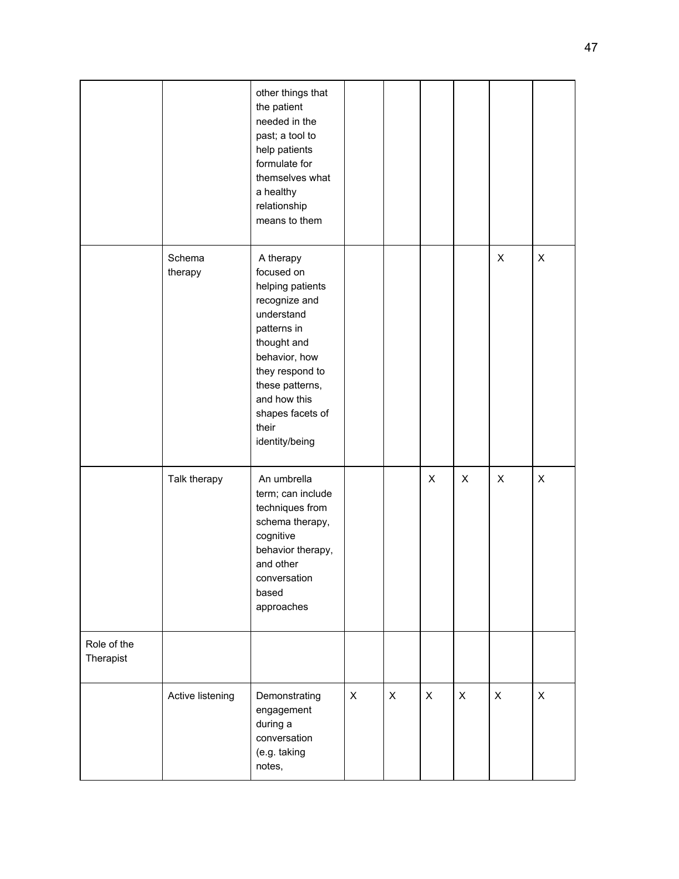|                          |                   | other things that<br>the patient<br>needed in the<br>past; a tool to<br>help patients<br>formulate for<br>themselves what<br>a healthy<br>relationship<br>means to them                                                        |              |              |              |              |                |                |
|--------------------------|-------------------|--------------------------------------------------------------------------------------------------------------------------------------------------------------------------------------------------------------------------------|--------------|--------------|--------------|--------------|----------------|----------------|
|                          | Schema<br>therapy | A therapy<br>focused on<br>helping patients<br>recognize and<br>understand<br>patterns in<br>thought and<br>behavior, how<br>they respond to<br>these patterns,<br>and how this<br>shapes facets of<br>their<br>identity/being |              |              |              |              | $\pmb{\times}$ | $\pmb{\times}$ |
|                          | Talk therapy      | An umbrella<br>term; can include<br>techniques from<br>schema therapy,<br>cognitive<br>behavior therapy,<br>and other<br>conversation<br>based<br>approaches                                                                   |              |              | $\mathsf{X}$ | X            | $\pmb{\times}$ | $\pmb{\times}$ |
| Role of the<br>Therapist |                   |                                                                                                                                                                                                                                |              |              |              |              |                |                |
|                          | Active listening  | Demonstrating<br>engagement<br>during a<br>conversation<br>(e.g. taking<br>notes,                                                                                                                                              | $\mathsf{X}$ | $\mathsf{X}$ | X            | $\mathsf{X}$ | $\mathsf{X}$   | $\mathsf{X}$   |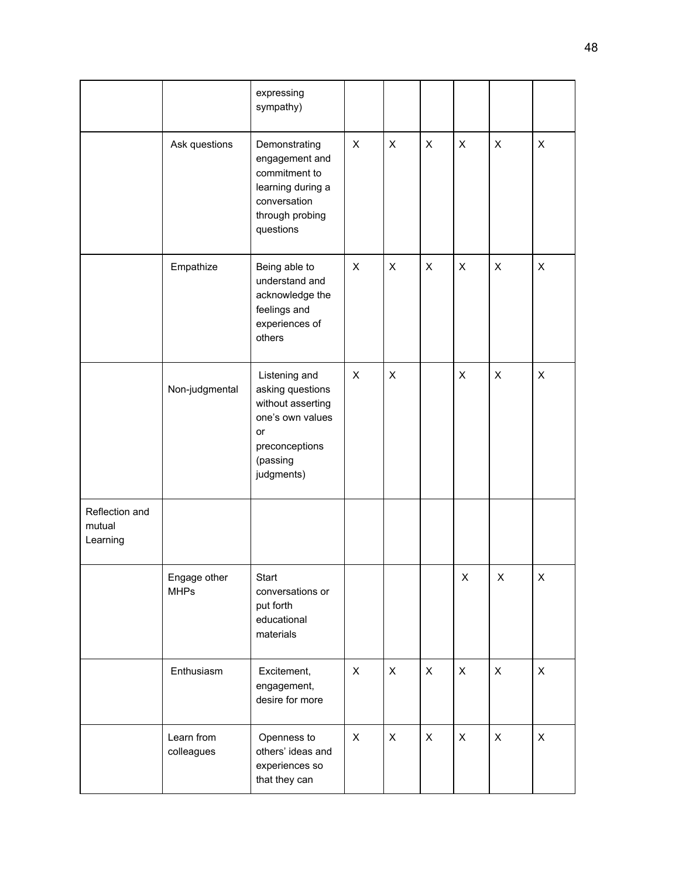|                                      |                             | expressing<br>sympathy)                                                                                                      |                |                |                |                           |                |                |
|--------------------------------------|-----------------------------|------------------------------------------------------------------------------------------------------------------------------|----------------|----------------|----------------|---------------------------|----------------|----------------|
|                                      | Ask questions               | Demonstrating<br>engagement and<br>commitment to<br>learning during a<br>conversation<br>through probing<br>questions        | X              | X              | X              | X                         | $\pmb{\times}$ | $\pmb{\times}$ |
|                                      | Empathize                   | Being able to<br>understand and<br>acknowledge the<br>feelings and<br>experiences of<br>others                               | X              | X              | X              | X                         | X              | X              |
|                                      | Non-judgmental              | Listening and<br>asking questions<br>without asserting<br>one's own values<br>or<br>preconceptions<br>(passing<br>judgments) | X              | X              |                | X                         | X              | X              |
| Reflection and<br>mutual<br>Learning |                             |                                                                                                                              |                |                |                |                           |                |                |
|                                      | Engage other<br><b>MHPs</b> | Start<br>conversations or<br>put forth<br>educational<br>materials                                                           |                |                |                | $\boldsymbol{\mathsf{X}}$ | X              | $\mathsf X$    |
|                                      | Enthusiasm                  | Excitement,<br>engagement,<br>desire for more                                                                                | $\pmb{\times}$ | X              | X              | $\pmb{\times}$            | $\pmb{\times}$ | $\pmb{\times}$ |
|                                      | Learn from<br>colleagues    | Openness to<br>others' ideas and<br>experiences so<br>that they can                                                          | $\mathsf{X}$   | $\pmb{\times}$ | $\pmb{\times}$ | $\mathsf{X}$              | $\pmb{\times}$ | $\pmb{\times}$ |